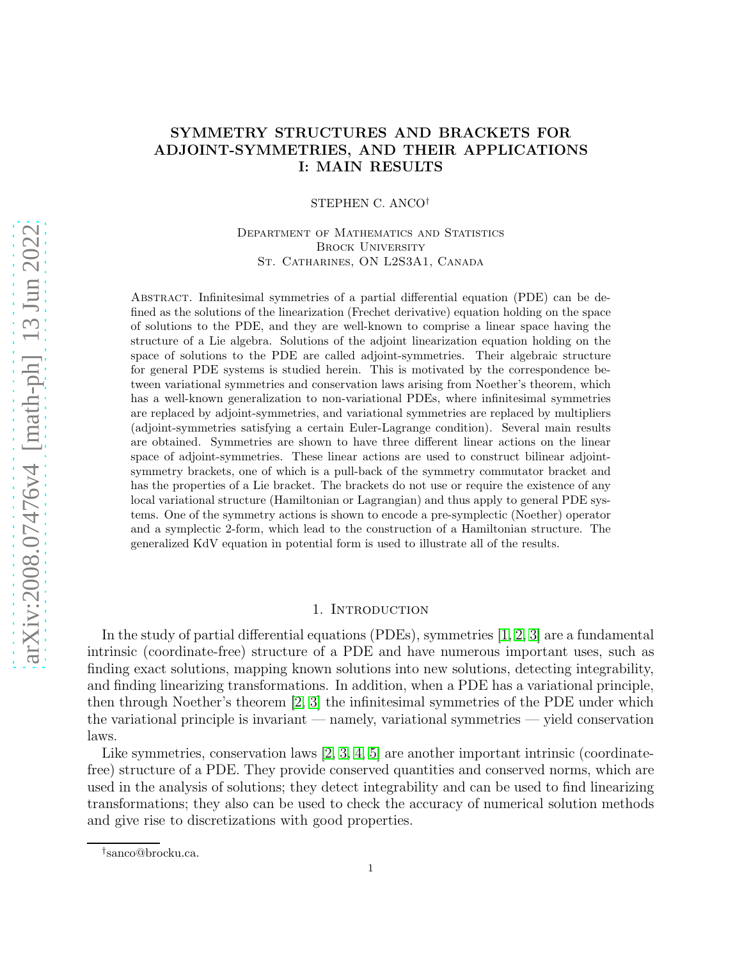# SYMMETRY STRUCTURES AND BRACKETS FOR ADJOINT-SYMMETRIES, AND THEIR APPLICATIONS I: MAIN RESULTS

STEPHEN C. ANCO†

Department of Mathematics and Statistics BROCK UNIVERSITY St. Catharines, ON L2S3A1, Canada

Abstract. Infinitesimal symmetries of a partial differential equation (PDE) can be defined as the solutions of the linearization (Frechet derivative) equation holding on the space of solutions to the PDE, and they are well-known to comprise a linear space having the structure of a Lie algebra. Solutions of the adjoint linearization equation holding on the space of solutions to the PDE are called adjoint-symmetries. Their algebraic structure for general PDE systems is studied herein. This is motivated by the correspondence between variational symmetries and conservation laws arising from Noether's theorem, which has a well-known generalization to non-variational PDEs, where infinitesimal symmetries are replaced by adjoint-symmetries, and variational symmetries are replaced by multipliers (adjoint-symmetries satisfying a certain Euler-Lagrange condition). Several main results are obtained. Symmetries are shown to have three different linear actions on the linear space of adjoint-symmetries. These linear actions are used to construct bilinear adjointsymmetry brackets, one of which is a pull-back of the symmetry commutator bracket and has the properties of a Lie bracket. The brackets do not use or require the existence of any local variational structure (Hamiltonian or Lagrangian) and thus apply to general PDE systems. One of the symmetry actions is shown to encode a pre-symplectic (Noether) operator and a symplectic 2-form, which lead to the construction of a Hamiltonian structure. The generalized KdV equation in potential form is used to illustrate all of the results.

## 1. INTRODUCTION

In the study of partial differential equations (PDEs), symmetries [\[1,](#page-26-0) [2,](#page-26-1) [3\]](#page-26-2) are a fundamental intrinsic (coordinate-free) structure of a PDE and have numerous important uses, such as finding exact solutions, mapping known solutions into new solutions, detecting integrability, and finding linearizing transformations. In addition, when a PDE has a variational principle, then through Noether's theorem [\[2,](#page-26-1) [3\]](#page-26-2) the infinitesimal symmetries of the PDE under which the variational principle is invariant — namely, variational symmetries — yield conservation laws.

Like symmetries, conservation laws  $[2, 3, 4, 5]$  $[2, 3, 4, 5]$  $[2, 3, 4, 5]$  $[2, 3, 4, 5]$  are another important intrinsic (coordinatefree) structure of a PDE. They provide conserved quantities and conserved norms, which are used in the analysis of solutions; they detect integrability and can be used to find linearizing transformations; they also can be used to check the accuracy of numerical solution methods and give rise to discretizations with good properties.

<sup>†</sup> sanco@brocku.ca.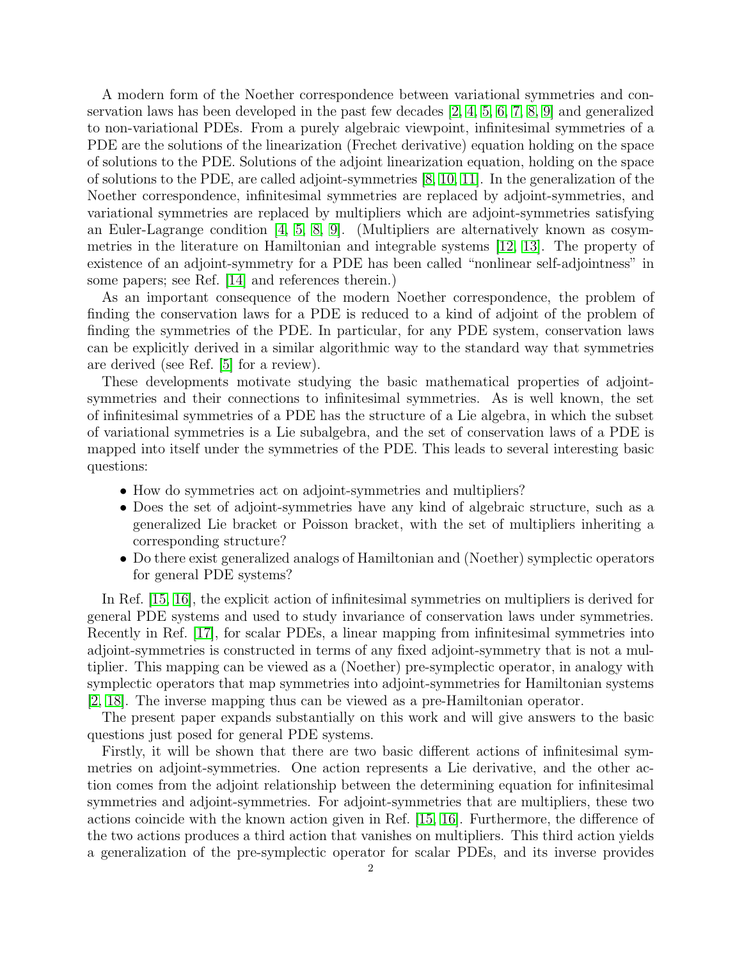A modern form of the Noether correspondence between variational symmetries and conservation laws has been developed in the past few decades [\[2,](#page-26-1) [4,](#page-26-3) [5,](#page-26-4) [6,](#page-26-5) [7,](#page-26-6) [8,](#page-26-7) [9\]](#page-26-8) and generalized to non-variational PDEs. From a purely algebraic viewpoint, infinitesimal symmetries of a PDE are the solutions of the linearization (Frechet derivative) equation holding on the space of solutions to the PDE. Solutions of the adjoint linearization equation, holding on the space of solutions to the PDE, are called adjoint-symmetries [\[8,](#page-26-7) [10,](#page-26-9) [11\]](#page-26-10). In the generalization of the Noether correspondence, infinitesimal symmetries are replaced by adjoint-symmetries, and variational symmetries are replaced by multipliers which are adjoint-symmetries satisfying an Euler-Lagrange condition [\[4,](#page-26-3) [5,](#page-26-4) [8,](#page-26-7) [9\]](#page-26-8). (Multipliers are alternatively known as cosymmetries in the literature on Hamiltonian and integrable systems [\[12,](#page-26-11) [13\]](#page-26-12). The property of existence of an adjoint-symmetry for a PDE has been called "nonlinear self-adjointness" in some papers; see Ref. [\[14\]](#page-26-13) and references therein.)

As an important consequence of the modern Noether correspondence, the problem of finding the conservation laws for a PDE is reduced to a kind of adjoint of the problem of finding the symmetries of the PDE. In particular, for any PDE system, conservation laws can be explicitly derived in a similar algorithmic way to the standard way that symmetries are derived (see Ref. [\[5\]](#page-26-4) for a review).

These developments motivate studying the basic mathematical properties of adjointsymmetries and their connections to infinitesimal symmetries. As is well known, the set of infinitesimal symmetries of a PDE has the structure of a Lie algebra, in which the subset of variational symmetries is a Lie subalgebra, and the set of conservation laws of a PDE is mapped into itself under the symmetries of the PDE. This leads to several interesting basic questions:

- How do symmetries act on adjoint-symmetries and multipliers?
- Does the set of adjoint-symmetries have any kind of algebraic structure, such as a generalized Lie bracket or Poisson bracket, with the set of multipliers inheriting a corresponding structure?
- Do there exist generalized analogs of Hamiltonian and (Noether) symplectic operators for general PDE systems?

In Ref. [\[15,](#page-26-14) [16\]](#page-26-15), the explicit action of infinitesimal symmetries on multipliers is derived for general PDE systems and used to study invariance of conservation laws under symmetries. Recently in Ref. [\[17\]](#page-26-16), for scalar PDEs, a linear mapping from infinitesimal symmetries into adjoint-symmetries is constructed in terms of any fixed adjoint-symmetry that is not a multiplier. This mapping can be viewed as a (Noether) pre-symplectic operator, in analogy with symplectic operators that map symmetries into adjoint-symmetries for Hamiltonian systems [\[2,](#page-26-1) [18\]](#page-26-17). The inverse mapping thus can be viewed as a pre-Hamiltonian operator.

The present paper expands substantially on this work and will give answers to the basic questions just posed for general PDE systems.

Firstly, it will be shown that there are two basic different actions of infinitesimal symmetries on adjoint-symmetries. One action represents a Lie derivative, and the other action comes from the adjoint relationship between the determining equation for infinitesimal symmetries and adjoint-symmetries. For adjoint-symmetries that are multipliers, these two actions coincide with the known action given in Ref. [\[15,](#page-26-14) [16\]](#page-26-15). Furthermore, the difference of the two actions produces a third action that vanishes on multipliers. This third action yields a generalization of the pre-symplectic operator for scalar PDEs, and its inverse provides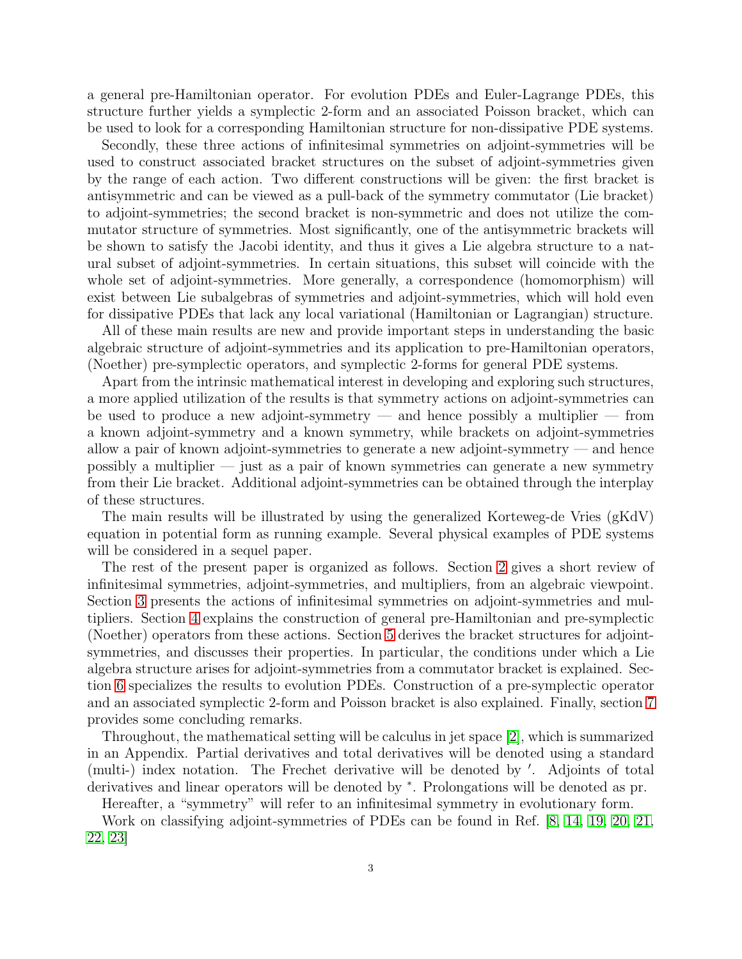a general pre-Hamiltonian operator. For evolution PDEs and Euler-Lagrange PDEs, this structure further yields a symplectic 2-form and an associated Poisson bracket, which can be used to look for a corresponding Hamiltonian structure for non-dissipative PDE systems.

Secondly, these three actions of infinitesimal symmetries on adjoint-symmetries will be used to construct associated bracket structures on the subset of adjoint-symmetries given by the range of each action. Two different constructions will be given: the first bracket is antisymmetric and can be viewed as a pull-back of the symmetry commutator (Lie bracket) to adjoint-symmetries; the second bracket is non-symmetric and does not utilize the commutator structure of symmetries. Most significantly, one of the antisymmetric brackets will be shown to satisfy the Jacobi identity, and thus it gives a Lie algebra structure to a natural subset of adjoint-symmetries. In certain situations, this subset will coincide with the whole set of adjoint-symmetries. More generally, a correspondence (homomorphism) will exist between Lie subalgebras of symmetries and adjoint-symmetries, which will hold even for dissipative PDEs that lack any local variational (Hamiltonian or Lagrangian) structure.

All of these main results are new and provide important steps in understanding the basic algebraic structure of adjoint-symmetries and its application to pre-Hamiltonian operators, (Noether) pre-symplectic operators, and symplectic 2-forms for general PDE systems.

Apart from the intrinsic mathematical interest in developing and exploring such structures, a more applied utilization of the results is that symmetry actions on adjoint-symmetries can be used to produce a new adjoint-symmetry — and hence possibly a multiplier — from a known adjoint-symmetry and a known symmetry, while brackets on adjoint-symmetries allow a pair of known adjoint-symmetries to generate a new adjoint-symmetry — and hence possibly a multiplier — just as a pair of known symmetries can generate a new symmetry from their Lie bracket. Additional adjoint-symmetries can be obtained through the interplay of these structures.

The main results will be illustrated by using the generalized Korteweg-de Vries (gKdV) equation in potential form as running example. Several physical examples of PDE systems will be considered in a sequel paper.

The rest of the present paper is organized as follows. Section [2](#page-3-0) gives a short review of infinitesimal symmetries, adjoint-symmetries, and multipliers, from an algebraic viewpoint. Section [3](#page-6-0) presents the actions of infinitesimal symmetries on adjoint-symmetries and multipliers. Section [4](#page-10-0) explains the construction of general pre-Hamiltonian and pre-symplectic (Noether) operators from these actions. Section [5](#page-13-0) derives the bracket structures for adjointsymmetries, and discusses their properties. In particular, the conditions under which a Lie algebra structure arises for adjoint-symmetries from a commutator bracket is explained. Section [6](#page-20-0) specializes the results to evolution PDEs. Construction of a pre-symplectic operator and an associated symplectic 2-form and Poisson bracket is also explained. Finally, section [7](#page-23-0) provides some concluding remarks.

Throughout, the mathematical setting will be calculus in jet space [\[2\]](#page-26-1), which is summarized in an Appendix. Partial derivatives and total derivatives will be denoted using a standard (multi-) index notation. The Frechet derivative will be denoted by ′ . Adjoints of total derivatives and linear operators will be denoted by <sup>∗</sup> . Prolongations will be denoted as pr.

Hereafter, a "symmetry" will refer to an infinitesimal symmetry in evolutionary form.

Work on classifying adjoint-symmetries of PDEs can be found in Ref. [\[8,](#page-26-7) [14,](#page-26-13) [19,](#page-26-18) [20,](#page-27-0) [21,](#page-27-1) [22,](#page-27-2) [23\]](#page-27-3)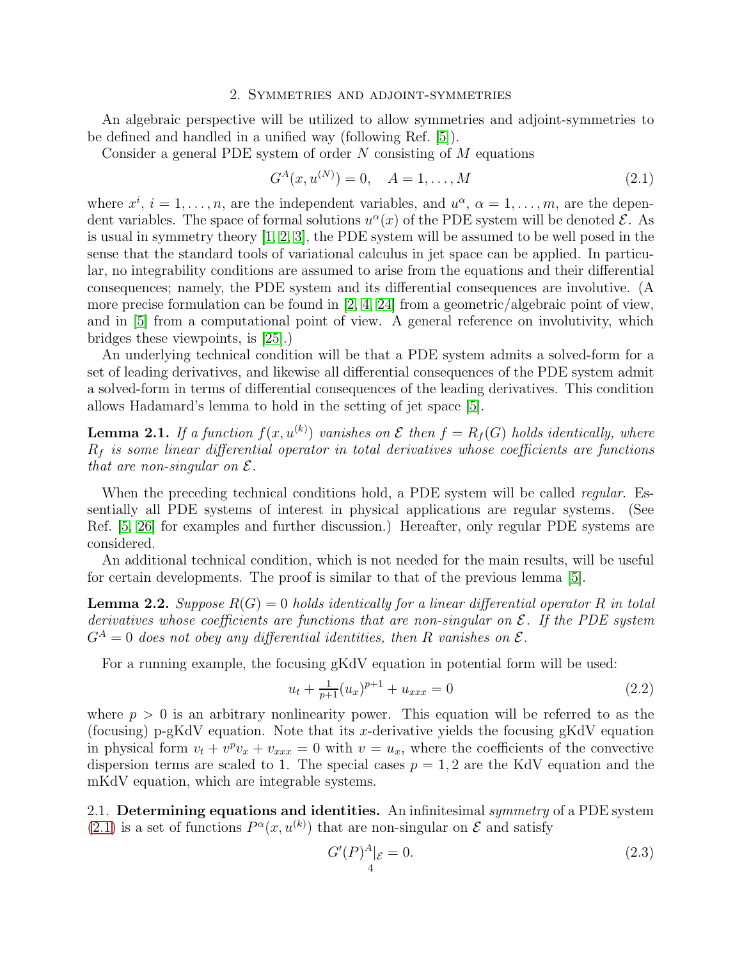#### 2. Symmetries and adjoint-symmetries

<span id="page-3-0"></span>An algebraic perspective will be utilized to allow symmetries and adjoint-symmetries to be defined and handled in a unified way (following Ref. [\[5\]](#page-26-4)).

Consider a general PDE system of order  $N$  consisting of  $M$  equations

<span id="page-3-1"></span>
$$
G^{A}(x, u^{(N)}) = 0, \quad A = 1, \dots, M
$$
\n(2.1)

where  $x^i$ ,  $i = 1, \ldots, n$ , are the independent variables, and  $u^{\alpha}$ ,  $\alpha = 1, \ldots, m$ , are the dependent variables. The space of formal solutions  $u^{\alpha}(x)$  of the PDE system will be denoted  $\mathcal{E}$ . As is usual in symmetry theory [\[1,](#page-26-0) [2,](#page-26-1) [3\]](#page-26-2), the PDE system will be assumed to be well posed in the sense that the standard tools of variational calculus in jet space can be applied. In particular, no integrability conditions are assumed to arise from the equations and their differential consequences; namely, the PDE system and its differential consequences are involutive. (A more precise formulation can be found in  $[2, 4, 24]$  $[2, 4, 24]$  $[2, 4, 24]$  from a geometric/algebraic point of view, and in [\[5\]](#page-26-4) from a computational point of view. A general reference on involutivity, which bridges these viewpoints, is [\[25\]](#page-27-5).)

An underlying technical condition will be that a PDE system admits a solved-form for a set of leading derivatives, and likewise all differential consequences of the PDE system admit a solved-form in terms of differential consequences of the leading derivatives. This condition allows Hadamard's lemma to hold in the setting of jet space [\[5\]](#page-26-4).

<span id="page-3-2"></span>**Lemma 2.1.** If a function  $f(x, u^{(k)})$  vanishes on  $\mathcal E$  then  $f = R_f(G)$  holds identically, where  $R_f$  is some linear differential operator in total derivatives whose coefficients are functions that are non-singular on  $\mathcal{E}.$ 

When the preceding technical conditions hold, a PDE system will be called *regular*. Essentially all PDE systems of interest in physical applications are regular systems. (See Ref. [\[5,](#page-26-4) [26\]](#page-27-6) for examples and further discussion.) Hereafter, only regular PDE systems are considered.

An additional technical condition, which is not needed for the main results, will be useful for certain developments. The proof is similar to that of the previous lemma [\[5\]](#page-26-4).

<span id="page-3-5"></span>**Lemma 2.2.** Suppose  $R(G) = 0$  holds identically for a linear differential operator R in total derivatives whose coefficients are functions that are non-singular on  $\mathcal E$ . If the PDE system  $G^{A} = 0$  does not obey any differential identities, then R vanishes on  $\mathcal{E}$ .

For a running example, the focusing gKdV equation in potential form will be used:

<span id="page-3-4"></span>
$$
u_t + \frac{1}{p+1}(u_x)^{p+1} + u_{xxx} = 0
$$
\n(2.2)

where  $p > 0$  is an arbitrary nonlinearity power. This equation will be referred to as the (focusing) p-gKdV equation. Note that its x-derivative yields the focusing gKdV equation in physical form  $v_t + v^p v_x + v_{xxx} = 0$  with  $v = u_x$ , where the coefficients of the convective dispersion terms are scaled to 1. The special cases  $p = 1, 2$  are the KdV equation and the mKdV equation, which are integrable systems.

2.1. Determining equations and identities. An infinitesimal *symmetry* of a PDE system [\(2.1\)](#page-3-1) is a set of functions  $P^{\alpha}(x, u^{(k)})$  that are non-singular on  $\mathcal E$  and satisfy

<span id="page-3-3"></span>
$$
G'(P)^{A}|_{\mathcal{E}} = 0.
$$
\n(2.3)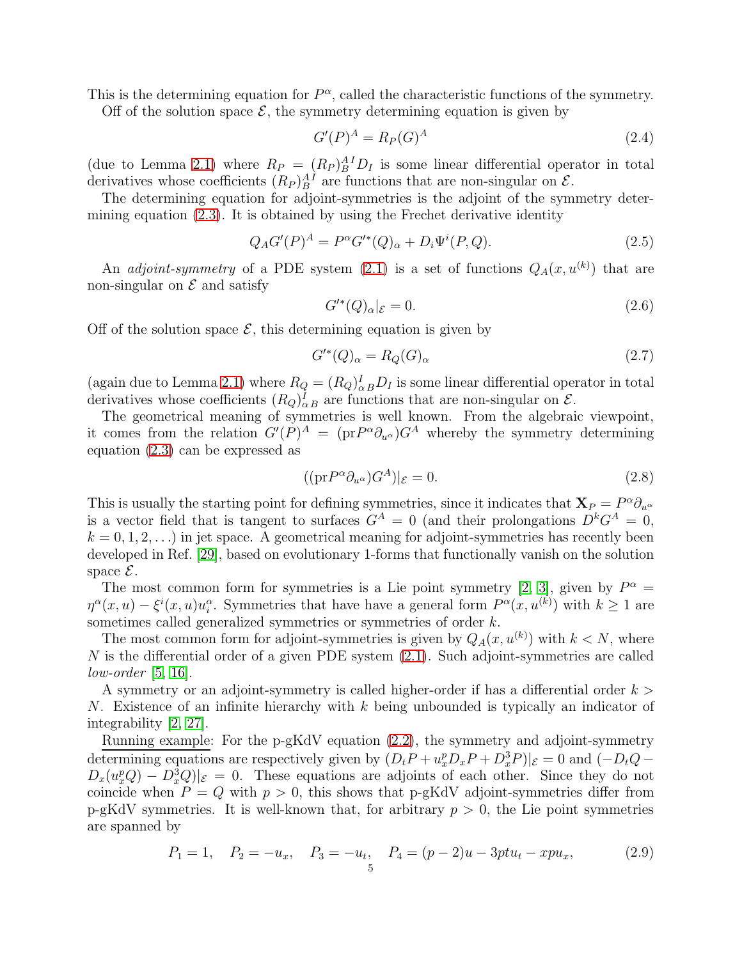This is the determining equation for  $P^{\alpha}$ , called the characteristic functions of the symmetry. Off of the solution space  $\mathcal{E}$ , the symmetry determining equation is given by

<span id="page-4-1"></span>
$$
G'(P)^A = R_P(G)^A \tag{2.4}
$$

(due to Lemma [2.1\)](#page-3-2) where  $R_P = (R_P)_B^{A} D_I$  is some linear differential operator in total derivatives whose coefficients  $(R_P)_B^{AI}$  are functions that are non-singular on  $\mathcal{E}$ .

The determining equation for adjoint-symmetries is the adjoint of the symmetry determining equation [\(2.3\)](#page-3-3). It is obtained by using the Frechet derivative identity

<span id="page-4-3"></span>
$$
Q_A G'(P)^A = P^{\alpha} G'^*(Q)_{\alpha} + D_i \Psi^i(P, Q). \tag{2.5}
$$

An *adjoint-symmetry* of a PDE system  $(2.1)$  is a set of functions  $Q_A(x, u^{(k)})$  that are non-singular on  $\mathcal E$  and satisfy

<span id="page-4-2"></span>
$$
G^{\prime*}(Q)_{\alpha}|_{\mathcal{E}} = 0. \tag{2.6}
$$

Off of the solution space  $\mathcal{E}$ , this determining equation is given by

<span id="page-4-0"></span>
$$
G^{\prime*}(Q)_{\alpha} = R_Q(G)_{\alpha} \tag{2.7}
$$

(again due to Lemma [2.1\)](#page-3-2) where  $R_Q = (R_Q)^I_{\alpha B} D_I$  is some linear differential operator in total derivatives whose coefficients  $(R_Q)_{\alpha B}^I$  are functions that are non-singular on  $\mathcal{E}$ .

The geometrical meaning of symmetries is well known. From the algebraic viewpoint, it comes from the relation  $G'(P)^A = (\text{pr}_{\mathcal{P}}^{\alpha} \partial_{u^{\alpha}}) G^A$  whereby the symmetry determining equation [\(2.3\)](#page-3-3) can be expressed as

$$
((\mathrm{pr}P^{\alpha}\partial_{u^{\alpha}})G^{A})|_{\mathcal{E}}=0.
$$
\n(2.8)

This is usually the starting point for defining symmetries, since it indicates that  $\mathbf{X}_P = P^{\alpha} \partial_{u^{\alpha}}$ is a vector field that is tangent to surfaces  $G^A = 0$  (and their prolongations  $D^k G^A = 0$ ,  $k = 0, 1, 2, \ldots$ ) in jet space. A geometrical meaning for adjoint-symmetries has recently been developed in Ref. [\[29\]](#page-27-7), based on evolutionary 1-forms that functionally vanish on the solution space  $\mathcal{E}$ .

The most common form for symmetries is a Lie point symmetry [\[2,](#page-26-1) [3\]](#page-26-2), given by  $P^{\alpha} =$  $\eta^{\alpha}(x, u) - \xi^{i}(x, u)u_i^{\alpha}$ . Symmetries that have have a general form  $P^{\alpha}(x, u^{(k)})$  with  $k \ge 1$  are sometimes called generalized symmetries or symmetries of order  $k$ .

The most common form for adjoint-symmetries is given by  $Q_A(x, u^{(k)})$  with  $k < N$ , where  $N$  is the differential order of a given PDE system  $(2.1)$ . Such adjoint-symmetries are called low-order  $[5, 16]$  $[5, 16]$ .

A symmetry or an adjoint-symmetry is called higher-order if has a differential order  $k >$ N. Existence of an infinite hierarchy with  $k$  being unbounded is typically an indicator of integrability [\[2,](#page-26-1) [27\]](#page-27-8).

Running example: For the p-gKdV equation [\(2.2\)](#page-3-4), the symmetry and adjoint-symmetry determining equations are respectively given by  $(D_t P + u_x^p D_x P + D_x^3 P)|_{\mathcal{E}} = 0$  and  $(-D_t Q D_x(u_x^p Q) - D_x^3 Q ||_{\mathcal{E}} = 0$ . These equations are adjoints of each other. Since they do not coincide when  $P = Q$  with  $p > 0$ , this shows that p-gKdV adjoint-symmetries differ from p-gKdV symmetries. It is well-known that, for arbitrary  $p > 0$ , the Lie point symmetries are spanned by

$$
P_1 = 1, \quad P_2 = -u_x, \quad P_3 = -u_t, \quad P_4 = (p-2)u - 3ptu_t - xpu_x, \tag{2.9}
$$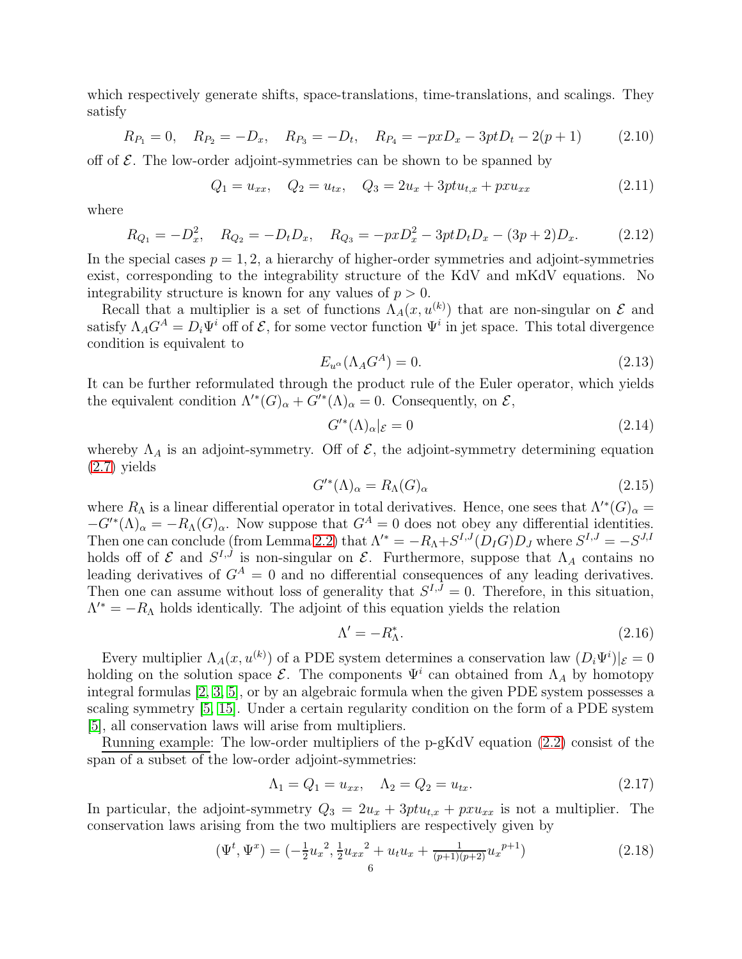which respectively generate shifts, space-translations, time-translations, and scalings. They satisfy

$$
R_{P_1} = 0, \quad R_{P_2} = -D_x, \quad R_{P_3} = -D_t, \quad R_{P_4} = -pxD_x - 3ptD_t - 2(p+1) \tag{2.10}
$$

off of  $\mathcal E$ . The low-order adjoint-symmetries can be shown to be spanned by

<span id="page-5-1"></span>
$$
Q_1 = u_{xx}, \quad Q_2 = u_{tx}, \quad Q_3 = 2u_x + 3ptu_{t,x} + pxu_{xx}
$$
\n(2.11)

where

<span id="page-5-2"></span>
$$
R_{Q_1} = -D_x^2, \quad R_{Q_2} = -D_t D_x, \quad R_{Q_3} = -pxD_x^2 - 3ptD_t D_x - (3p+2)D_x. \tag{2.12}
$$

In the special cases  $p = 1, 2$ , a hierarchy of higher-order symmetries and adjoint-symmetries exist, corresponding to the integrability structure of the KdV and mKdV equations. No integrability structure is known for any values of  $p > 0$ .

Recall that a multiplier is a set of functions  $\Lambda_A(x, u^{(k)})$  that are non-singular on  $\mathcal E$  and satisfy  $\Lambda_A G^A = D_i \Psi^i$  off of  $\mathcal{E}$ , for some vector function  $\Psi^i$  in jet space. This total divergence condition is equivalent to

$$
E_{u^{\alpha}}(\Lambda_A G^A) = 0. \tag{2.13}
$$

It can be further reformulated through the product rule of the Euler operator, which yields the equivalent condition  $\Lambda^{'}(G)_{\alpha} + G^{'}(\Lambda)_{\alpha} = 0$ . Consequently, on  $\mathcal{E},$ 

$$
G^{\prime *}(\Lambda)_{\alpha}|_{\mathcal{E}} = 0 \tag{2.14}
$$

whereby  $\Lambda_A$  is an adjoint-symmetry. Off of  $\mathcal{E}$ , the adjoint-symmetry determining equation [\(2.7\)](#page-4-0) yields

$$
G^{\prime *}(\Lambda)_{\alpha} = R_{\Lambda}(G)_{\alpha} \tag{2.15}
$$

where  $R_{\Lambda}$  is a linear differential operator in total derivatives. Hence, one sees that  $\Lambda^{'}(G)_{\alpha} =$  $-G'^*(\Lambda)_{\alpha} = -R_{\Lambda}(G)_{\alpha}$ . Now suppose that  $G^A = 0$  does not obey any differential identities. Then one can conclude (from Lemma [2.2\)](#page-3-5) that  $\Lambda'^* = -R_{\Lambda} + S^{I,J}(D_I G)D_J$  where  $S^{I,J} = -S^{J,I}$ holds off of  $\mathcal E$  and  $S^{I,J}$  is non-singular on  $\mathcal E$ . Furthermore, suppose that  $\Lambda_A$  contains no leading derivatives of  $G<sup>A</sup> = 0$  and no differential consequences of any leading derivatives. Then one can assume without loss of generality that  $S^{I,J} = 0$ . Therefore, in this situation,  $\Lambda^{\prime *} = -R_{\Lambda}$  holds identically. The adjoint of this equation yields the relation

<span id="page-5-0"></span>
$$
\Lambda' = -R_{\Lambda}^*.\tag{2.16}
$$

Every multiplier  $\Lambda_A(x, u^{(k)})$  of a PDE system determines a conservation law  $(D_i \Psi^i)|_{\mathcal{E}} = 0$ holding on the solution space  $\mathcal{E}$ . The components  $\Psi^i$  can obtained from  $\Lambda_A$  by homotopy integral formulas [\[2,](#page-26-1) [3,](#page-26-2) [5\]](#page-26-4), or by an algebraic formula when the given PDE system possesses a scaling symmetry [\[5,](#page-26-4) [15\]](#page-26-14). Under a certain regularity condition on the form of a PDE system [\[5\]](#page-26-4), all conservation laws will arise from multipliers.

Running example: The low-order multipliers of the p-gKdV equation [\(2.2\)](#page-3-4) consist of the span of a subset of the low-order adjoint-symmetries:

$$
\Lambda_1 = Q_1 = u_{xx}, \quad \Lambda_2 = Q_2 = u_{tx}.
$$
\n(2.17)

In particular, the adjoint-symmetry  $Q_3 = 2u_x + 3ptu_{t,x} + pxu_{xx}$  is not a multiplier. The conservation laws arising from the two multipliers are respectively given by

<span id="page-5-3"></span>
$$
(\Psi^t, \Psi^x) = \left(-\frac{1}{2}u_x^2, \frac{1}{2}u_{xx}^2 + u_t u_x + \frac{1}{(p+1)(p+2)}u_x^{p+1}\right)
$$
(2.18)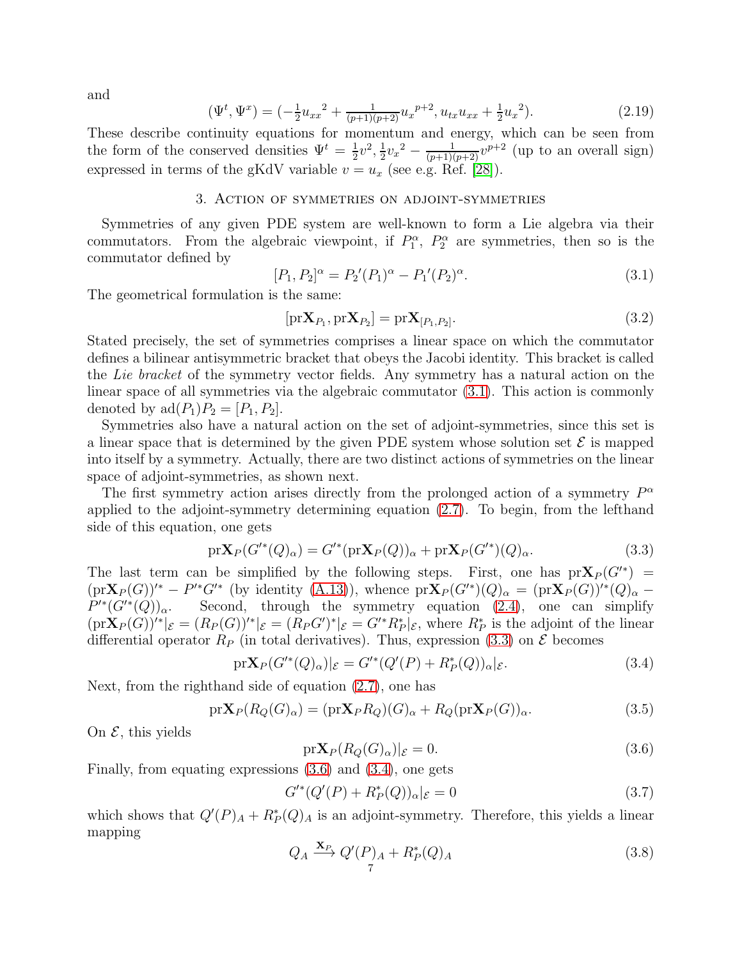and

$$
\Psi^t, \Psi^x) = \left(-\frac{1}{2}u_{xx}^2 + \frac{1}{(p+1)(p+2)}u_x^{p+2}, u_{tx}u_{xx} + \frac{1}{2}u_x^2\right). \tag{2.19}
$$

These describe continuity equations for momentum and energy, which can be seen from the form of the conserved densities  $\Psi^t = \frac{1}{2}$  $\frac{1}{2}v^2, \frac{1}{2}$  $\frac{1}{2}v_x^2 - \frac{1}{(p+1)(p+2)}v^{p+2}$  (up to an overall sign) expressed in terms of the gKdV variable  $v = u_x$  (see e.g. Ref. [\[28\]](#page-27-9)).

# 3. Action of symmetries on adjoint-symmetries

<span id="page-6-0"></span>Symmetries of any given PDE system are well-known to form a Lie algebra via their commutators. From the algebraic viewpoint, if  $P_1^{\alpha}$ ,  $P_2^{\alpha}$  are symmetries, then so is the commutator defined by

<span id="page-6-1"></span>
$$
[P_1, P_2]^{\alpha} = P_2'(P_1)^{\alpha} - P_1'(P_2)^{\alpha}.
$$
\n(3.1)

The geometrical formulation is the same:

<span id="page-6-6"></span> $($ 

$$
[\mathrm{pr}\mathbf{X}_{P_1}, \mathrm{pr}\mathbf{X}_{P_2}] = \mathrm{pr}\mathbf{X}_{[P_1, P_2]}.
$$
\n(3.2)

Stated precisely, the set of symmetries comprises a linear space on which the commutator defines a bilinear antisymmetric bracket that obeys the Jacobi identity. This bracket is called the Lie bracket of the symmetry vector fields. Any symmetry has a natural action on the linear space of all symmetries via the algebraic commutator [\(3.1\)](#page-6-1). This action is commonly denoted by  $\text{ad}(P_1)P_2 = [P_1, P_2]$ .

Symmetries also have a natural action on the set of adjoint-symmetries, since this set is a linear space that is determined by the given PDE system whose solution set  $\mathcal E$  is mapped into itself by a symmetry. Actually, there are two distinct actions of symmetries on the linear space of adjoint-symmetries, as shown next.

The first symmetry action arises directly from the prolonged action of a symmetry  $P^{\alpha}$ applied to the adjoint-symmetry determining equation [\(2.7\)](#page-4-0). To begin, from the lefthand side of this equation, one gets

<span id="page-6-2"></span>
$$
\mathrm{pr}\mathbf{X}_P(G'^*(Q)_\alpha) = G'^*(\mathrm{pr}\mathbf{X}_P(Q))_\alpha + \mathrm{pr}\mathbf{X}_P(G'^*)(Q)_\alpha. \tag{3.3}
$$

The last term can be simplified by the following steps. First, one has  $prX_P(G'^*)$  =  $(\text{pr}\mathbf{X}_P(G))'^* - P'^*G'^*$  (by identity [\(A.13\)](#page-26-19)), whence  $\text{pr}\mathbf{X}_P(G'^*)(Q)_{\alpha} = (\text{pr}\mathbf{X}_P(G))'^*(Q)_{\alpha} P'^*(G'^*(Q))_{\alpha}.$ Second, through the symmetry equation [\(2.4\)](#page-4-1), one can simplify  $(\text{pr}\mathbf{X}_P(G))'^*|_{\mathcal{E}} = (R_P(G))'^*|_{\mathcal{E}} = (R_P G')^*|_{\mathcal{E}} = G'^*R_P^*|_{\mathcal{E}}$ , where  $R_P^*$  is the adjoint of the linear differential operator  $R_P$  (in total derivatives). Thus, expression [\(3.3\)](#page-6-2) on  $\mathcal E$  becomes

<span id="page-6-4"></span>
$$
\text{pr}\mathbf{X}_P(G'^*(Q)_\alpha)|_{\mathcal{E}} = G'^*(Q'(P) + R^*_P(Q))_\alpha|_{\mathcal{E}}.\tag{3.4}
$$

Next, from the righthand side of equation [\(2.7\)](#page-4-0), one has

$$
\text{pr}\mathbf{X}_P(R_Q(G_\alpha)) = (\text{pr}\mathbf{X}_P R_Q)(G_\alpha + R_Q(\text{pr}\mathbf{X}_P(G))_\alpha. \tag{3.5}
$$

On  $\mathcal{E}$ , this yields

<span id="page-6-3"></span>
$$
\mathrm{pr}\mathbf{X}_P(R_Q(G)_\alpha)|_{\mathcal{E}}=0.\tag{3.6}
$$

Finally, from equating expressions [\(3.6\)](#page-6-3) and [\(3.4\)](#page-6-4), one gets

$$
G^{\prime*}(Q'(P) + R_P^*(Q))_{\alpha}|_{\mathcal{E}} = 0
$$
\n(3.7)

which shows that  $Q'(P)_A + R_P^*(Q)_A$  is an adjoint-symmetry. Therefore, this yields a linear mapping

<span id="page-6-5"></span>
$$
Q_A \xrightarrow{\mathbf{X}_P} Q'(P)_A + R_P^*(Q)_A \tag{3.8}
$$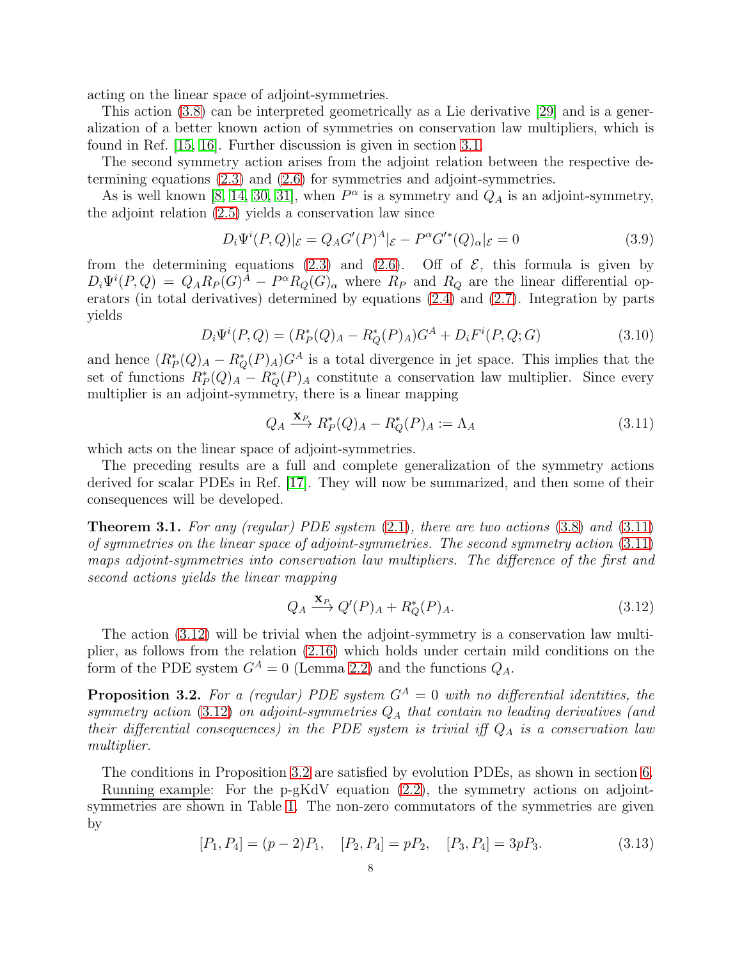acting on the linear space of adjoint-symmetries.

This action [\(3.8\)](#page-6-5) can be interpreted geometrically as a Lie derivative [\[29\]](#page-27-7) and is a generalization of a better known action of symmetries on conservation law multipliers, which is found in Ref. [\[15,](#page-26-14) [16\]](#page-26-15). Further discussion is given in section [3.1.](#page-8-0)

The second symmetry action arises from the adjoint relation between the respective determining equations [\(2.3\)](#page-3-3) and [\(2.6\)](#page-4-2) for symmetries and adjoint-symmetries.

As is well known [\[8,](#page-26-7) [14,](#page-26-13) [30,](#page-27-10) [31\]](#page-27-11), when  $P^{\alpha}$  is a symmetry and  $Q_A$  is an adjoint-symmetry, the adjoint relation [\(2.5\)](#page-4-3) yields a conservation law since

$$
D_i\Psi^i(P,Q)|_{\mathcal{E}} = Q_A G'(P)^A|_{\mathcal{E}} - P^{\alpha}G'^*(Q)_{\alpha}|_{\mathcal{E}} = 0
$$
\n(3.9)

from the determining equations [\(2.3\)](#page-3-3) and [\(2.6\)](#page-4-2). Off of  $\mathcal{E}$ , this formula is given by  $D_i\Psi^i(P,Q) = Q_A R_P(G)^A - P^{\alpha}R_Q(G)_{\alpha}$  where  $R_P$  and  $R_Q$  are the linear differential operators (in total derivatives) determined by equations [\(2.4\)](#page-4-1) and [\(2.7\)](#page-4-0). Integration by parts yields

$$
D_i\Psi^i(P,Q) = (R_P^*(Q)_A - R_Q^*(P)_A)G^A + D_iF^i(P,Q;G)
$$
\n(3.10)

and hence  $(R_P^*(Q)_A - R_Q^*(P)_A)G^A$  is a total divergence in jet space. This implies that the set of functions  $R_P^*(Q)_A - R_Q^*(P)_A$  constitute a conservation law multiplier. Since every multiplier is an adjoint-symmetry, there is a linear mapping

<span id="page-7-0"></span>
$$
Q_A \xrightarrow{\mathbf{X}_P} R_P^*(Q)_A - R_Q^*(P)_A := \Lambda_A \tag{3.11}
$$

which acts on the linear space of adjoint-symmetries.

The preceding results are a full and complete generalization of the symmetry actions derived for scalar PDEs in Ref. [\[17\]](#page-26-16). They will now be summarized, and then some of their consequences will be developed.

<span id="page-7-3"></span>**Theorem 3.1.** For any (regular) PDE system  $(2.1)$ , there are two actions  $(3.8)$  and  $(3.11)$ of symmetries on the linear space of adjoint-symmetries. The second symmetry action [\(3.11\)](#page-7-0) maps adjoint-symmetries into conservation law multipliers. The difference of the first and second actions yields the linear mapping

<span id="page-7-1"></span>
$$
Q_A \xrightarrow{\mathbf{X}_P} Q'(P)_A + R_Q^*(P)_A. \tag{3.12}
$$

The action [\(3.12\)](#page-7-1) will be trivial when the adjoint-symmetry is a conservation law multiplier, as follows from the relation [\(2.16\)](#page-5-0) which holds under certain mild conditions on the form of the PDE system  $G^A = 0$  (Lemma [2.2\)](#page-3-5) and the functions  $Q_A$ .

<span id="page-7-2"></span>**Proposition 3.2.** For a (regular) PDE system  $G^A = 0$  with no differential identities, the symmetry action [\(3.12\)](#page-7-1) on adjoint-symmetries  $Q_A$  that contain no leading derivatives (and their differential consequences) in the PDE system is trivial iff  $Q_A$  is a conservation law multiplier.

The conditions in Proposition [3.2](#page-7-2) are satisfied by evolution PDEs, as shown in section [6.](#page-20-0) Running example: For the p-gKdV equation [\(2.2\)](#page-3-4), the symmetry actions on adjointsymmetries are shown in Table [1.](#page-8-1) The non-zero commutators of the symmetries are given by

<span id="page-7-4"></span>
$$
[P_1, P_4] = (p-2)P_1, \quad [P_2, P_4] = pP_2, \quad [P_3, P_4] = 3pP_3. \tag{3.13}
$$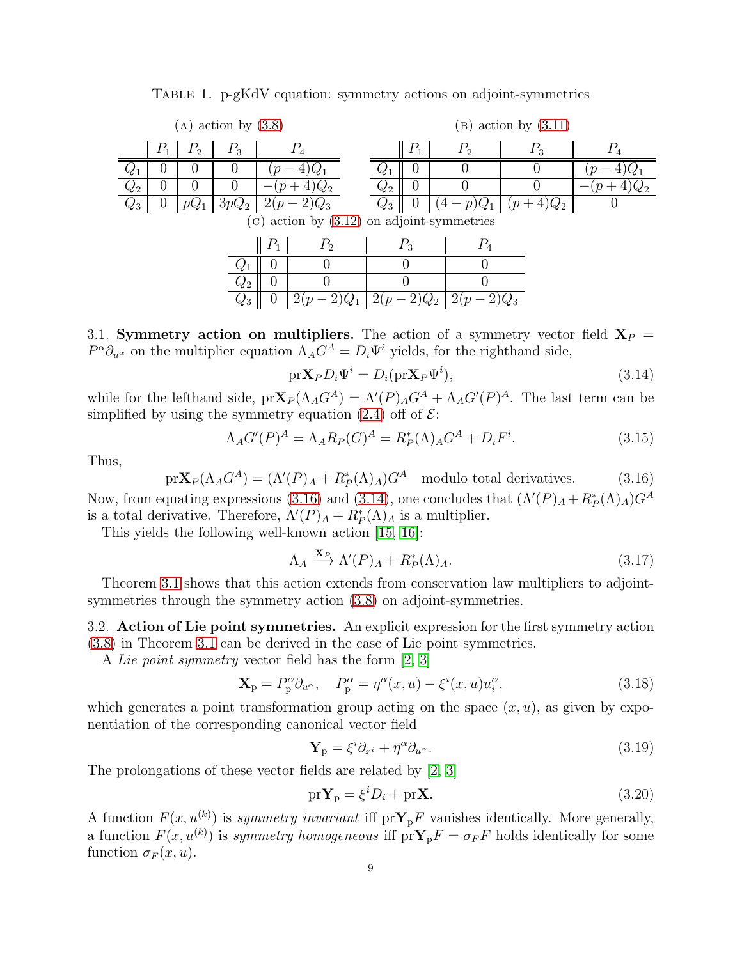<span id="page-8-1"></span>

| $(A)$ action by $(3.8)$                        |                             |                |                 |                       |       |         | $(B)$ action by $(3.11)$ |          |                                         |       |  |
|------------------------------------------------|-----------------------------|----------------|-----------------|-----------------------|-------|---------|--------------------------|----------|-----------------------------------------|-------|--|
|                                                | $\parallel P_1$             | P <sub>2</sub> | $P_3$           |                       | $P_4$ |         | $P_1$                    | $P_{2}$  | $P_3$                                   | $P_4$ |  |
|                                                |                             |                |                 |                       |       |         |                          |          |                                         |       |  |
| $Q_2$                                          | O                           | 0              | 0               |                       |       | $2^{2}$ | $\cup$                   |          |                                         |       |  |
| $Q_3$                                          | $\theta$                    | $pQ_1$         |                 | $3pQ_2$   $2(p-2)Q_3$ |       |         | $Q_3 \parallel 0$        |          | $\left[ (4-p)Q_1 \mid (p+4)Q_2 \right]$ |       |  |
| $(c)$ action by $(3.12)$ on adjoint-symmetries |                             |                |                 |                       |       |         |                          |          |                                         |       |  |
|                                                | $P_1$<br>P <sub>2</sub>     |                |                 | $P_3$                 |       |         |                          |          |                                         |       |  |
|                                                |                             |                |                 |                       |       |         |                          |          |                                         |       |  |
|                                                | $\theta$<br>$\mathcal{L}_2$ |                |                 |                       |       |         |                          |          |                                         |       |  |
|                                                |                             |                | $\mathcal{Q}_3$ | $\theta$              |       | 2(p)    |                          | $2(p-2)$ |                                         |       |  |

Table 1. p-gKdV equation: symmetry actions on adjoint-symmetries

<span id="page-8-0"></span>3.1. Symmetry action on multipliers. The action of a symmetry vector field  $X_P =$  $P^{\alpha}\partial_{u^{\alpha}}$  on the multiplier equation  $\Lambda_A G^A = D_i \Psi^i$  yields, for the righthand side,

<span id="page-8-3"></span>
$$
\text{pr}\mathbf{X}_P D_i \Psi^i = D_i(\text{pr}\mathbf{X}_P \Psi^i),\tag{3.14}
$$

while for the lefthand side,  $pr\mathbf{X}_P(\Lambda_A G^A) = \Lambda'(P)_A G^A + \Lambda_A G'(P)^A$ . The last term can be simplified by using the symmetry equation [\(2.4\)](#page-4-1) off of  $\mathcal{E}$ :

$$
\Lambda_A G'(P)^A = \Lambda_A R_P(G)^A = R_P^*(\Lambda)_A G^A + D_i F^i. \tag{3.15}
$$

Thus,

<span id="page-8-2"></span> $pr\mathbf{X}_P(\Lambda_A G^A) = (\Lambda'(P)_A + R_P^*(\Lambda)_A)G^A$  modulo total derivatives. (3.16)

Now, from equating expressions [\(3.16\)](#page-8-2) and [\(3.14\)](#page-8-3), one concludes that  $(\Lambda'(P)_A + R_P^*(\Lambda)_A)G^A$ is a total derivative. Therefore,  $\Lambda'(P)_A + R_P^*(\Lambda)_A$  is a multiplier.

This yields the following well-known action [\[15,](#page-26-14) [16\]](#page-26-15):

$$
\Lambda_A \xrightarrow{\mathbf{X}_P} \Lambda'(P)_A + R_P^*(\Lambda)_A. \tag{3.17}
$$

Theorem [3.1](#page-7-3) shows that this action extends from conservation law multipliers to adjointsymmetries through the symmetry action [\(3.8\)](#page-6-5) on adjoint-symmetries.

3.2. Action of Lie point symmetries. An explicit expression for the first symmetry action [\(3.8\)](#page-6-5) in Theorem [3.1](#page-7-3) can be derived in the case of Lie point symmetries.

A Lie point symmetry vector field has the form [\[2,](#page-26-1) [3\]](#page-26-2)

<span id="page-8-4"></span>
$$
\mathbf{X}_{\mathrm{p}} = P_{\mathrm{p}}^{\alpha} \partial_{u^{\alpha}}, \quad P_{\mathrm{p}}^{\alpha} = \eta^{\alpha}(x, u) - \xi^{i}(x, u) u_{i}^{\alpha}, \tag{3.18}
$$

which generates a point transformation group acting on the space  $(x, u)$ , as given by exponentiation of the corresponding canonical vector field

$$
\mathbf{Y}_{\mathrm{p}} = \xi^{i} \partial_{x^{i}} + \eta^{\alpha} \partial_{u^{\alpha}}.
$$
\n(3.19)

The prolongations of these vector fields are related by [\[2,](#page-26-1) [3\]](#page-26-2)

<span id="page-8-5"></span>
$$
\text{pr}\mathbf{Y}_{\text{p}} = \xi^{i} D_{i} + \text{pr}\mathbf{X}.\tag{3.20}
$$

A function  $F(x, u^{(k)})$  is symmetry invariant iff  $prY_{p}F$  vanishes identically. More generally, a function  $F(x, u^{(k)})$  is symmetry homogeneous iff  $\text{pr}\mathbf{Y}_{p}F = \sigma_{F}F$  holds identically for some function  $\sigma_F(x, u)$ .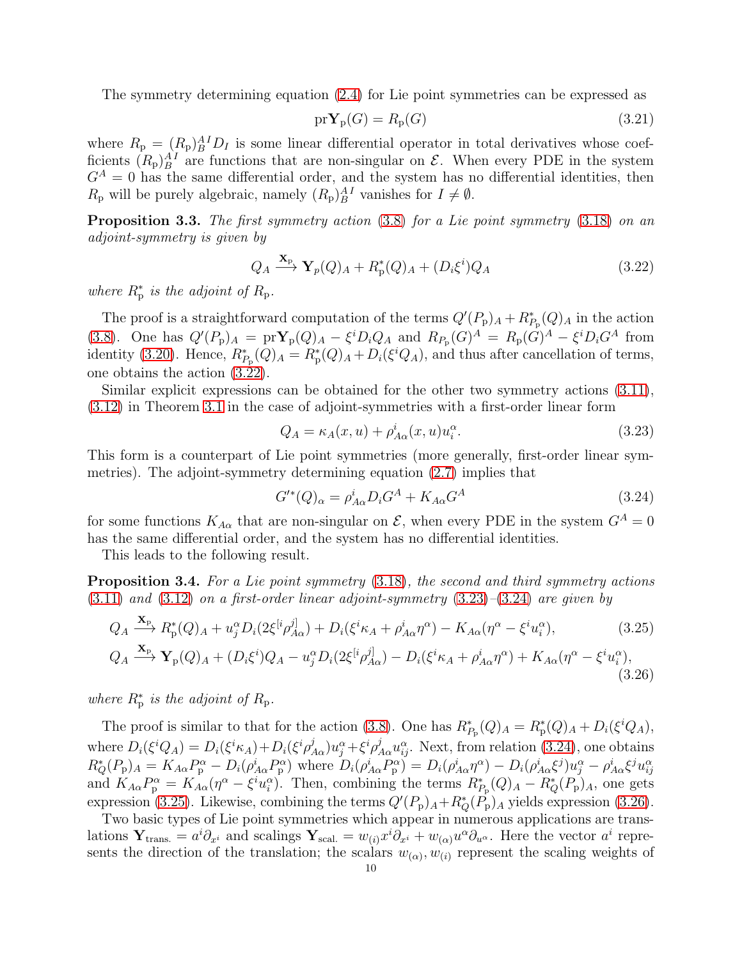The symmetry determining equation [\(2.4\)](#page-4-1) for Lie point symmetries can be expressed as

$$
\mathrm{pr}\mathbf{Y}_{\mathrm{p}}(G) = R_{\mathrm{p}}(G) \tag{3.21}
$$

where  $R_{\rm p} = (R_{\rm p})_B^{A} D_I$  is some linear differential operator in total derivatives whose coefficients  $(R_{\rm p})_B^{AI}$  are functions that are non-singular on  $\mathcal{E}$ . When every PDE in the system  $G<sup>A</sup> = 0$  has the same differential order, and the system has no differential identities, then  $R_{\rm p}$  will be purely algebraic, namely  $(R_{\rm p})_B^{AI}$  vanishes for  $I \neq \emptyset$ .

<span id="page-9-5"></span>Proposition 3.3. The first symmetry action [\(3.8\)](#page-6-5) for a Lie point symmetry [\(3.18\)](#page-8-4) on an adjoint-symmetry is given by

<span id="page-9-0"></span>
$$
Q_A \xrightarrow{\mathbf{X}_{\text{p}}} \mathbf{Y}_p(Q)_A + R_p^*(Q)_A + (D_i \xi^i) Q_A \tag{3.22}
$$

where  $R_p^*$  is the adjoint of  $R_p$ .

The proof is a straightforward computation of the terms  $Q'(P_p)_A + R_{P_p}^*(Q)_A$  in the action [\(3.8\)](#page-6-5). One has  $Q'(P_p)_A = prY_p(Q)_A - \xi^i D_i Q_A$  and  $R_{P_p}(G)^A = R_p(G)^A - \xi^i D_i G^A$  from identity [\(3.20\)](#page-8-5). Hence,  $R_{P_{\rm p}}^*(Q)_A = R_{\rm p}^*(Q)_A + D_i(\xi^i Q_A)$ , and thus after cancellation of terms, one obtains the action [\(3.22\)](#page-9-0).

Similar explicit expressions can be obtained for the other two symmetry actions [\(3.11\)](#page-7-0), [\(3.12\)](#page-7-1) in Theorem [3.1](#page-7-3) in the case of adjoint-symmetries with a first-order linear form

<span id="page-9-1"></span>
$$
Q_A = \kappa_A(x, u) + \rho^i_{A\alpha}(x, u)u_i^{\alpha}.
$$
\n(3.23)

This form is a counterpart of Lie point symmetries (more generally, first-order linear symmetries). The adjoint-symmetry determining equation [\(2.7\)](#page-4-0) implies that

<span id="page-9-2"></span>
$$
G^{\prime*}(Q)_{\alpha} = \rho_{A\alpha}^{i} D_i G^A + K_{A\alpha} G^A \qquad (3.24)
$$

<span id="page-9-4"></span><span id="page-9-3"></span>(3.26)

for some functions  $K_{A\alpha}$  that are non-singular on  $\mathcal{E}$ , when every PDE in the system  $G^A = 0$ has the same differential order, and the system has no differential identities.

This leads to the following result.

<span id="page-9-6"></span>Proposition 3.4. For a Lie point symmetry  $(3.18)$ , the second and third symmetry actions  $(3.11)$  and  $(3.12)$  on a first-order linear adjoint-symmetry  $(3.23)$ – $(3.24)$  are given by

$$
Q_A \xrightarrow{\mathbf{X}_{\text{P}}} R_{\text{p}}^*(Q)_A + u_j^{\alpha} D_i (2\xi^{[i} \rho_{A\alpha}^{j]}) + D_i (\xi^i \kappa_A + \rho_{A\alpha}^i \eta^{\alpha}) - K_{A\alpha} (\eta^{\alpha} - \xi^i u_i^{\alpha}), \tag{3.25}
$$
  

$$
Q_A \xrightarrow{\mathbf{X}_{\text{P}}} \mathbf{Y}_{\text{p}}(Q)_A + (D_i \xi^i) Q_A - u_j^{\alpha} D_i (2\xi^{[i} \rho_{A\alpha}^{j]}) - D_i (\xi^i \kappa_A + \rho_{A\alpha}^i \eta^{\alpha}) + K_{A\alpha} (\eta^{\alpha} - \xi^i u_i^{\alpha}),
$$

where  $R_{\rm p}^{*}$  is the adjoint of  $R_{\rm p}$ .

The proof is similar to that for the action [\(3.8\)](#page-6-5). One has  $R_{P_{\rm p}}^*(Q)_A = R_{\rm p}^*(Q)_A + D_i(\xi^i Q_A)$ , where  $D_i(\xi^i Q_A) = D_i(\xi^i \kappa_A) + D_i(\xi^i \rho^j_{A\alpha}) u_j^{\alpha} + \xi^i \rho^j_{A\alpha} u_{ij}^{\alpha}$ . Next, from relation [\(3.24\)](#page-9-2), one obtains  $R_Q^*(P_p)_A = K_{A\alpha}P_p^{\alpha} - D_i(\rho_{A\alpha}^i P_p^{\alpha})$  where  $D_i(\rho_{A\alpha}^i P_p^{\alpha}) = D_i(\rho_{A\alpha}^i \eta^{\alpha}) - D_i(\rho_{A\alpha}^i \xi^j)u_j^{\alpha} - \rho_{A\alpha}^i \xi^j u_{ij}^{\alpha}$ and  $K_{A\alpha}P_{\rm p}^{\alpha} = K_{A\alpha}(\eta^{\alpha} - \xi^{i}u_{i}^{\alpha})$ . Then, combining the terms  $R_{P_{\rm p}}^{*}(Q)_{A} - R_{Q}^{*}(P_{\rm p})_{A}$ , one gets expression [\(3.25\)](#page-9-3). Likewise, combining the terms  $Q'(P_p)_A + R^*_{Q}(P_p)_A$  yields expression [\(3.26\)](#page-9-4).

Two basic types of Lie point symmetries which appear in numerous applications are translations  $\mathbf{Y}_{trans.} = a^i \partial_{x^i}$  and scalings  $\mathbf{Y}_{scal.} = w_{(i)} x^i \partial_{x^i} + w_{(\alpha)} u^{\alpha} \partial_{u^{\alpha}}$ . Here the vector  $a^i$  represents the direction of the translation; the scalars  $w_{(\alpha)}, w_{(i)}$  represent the scaling weights of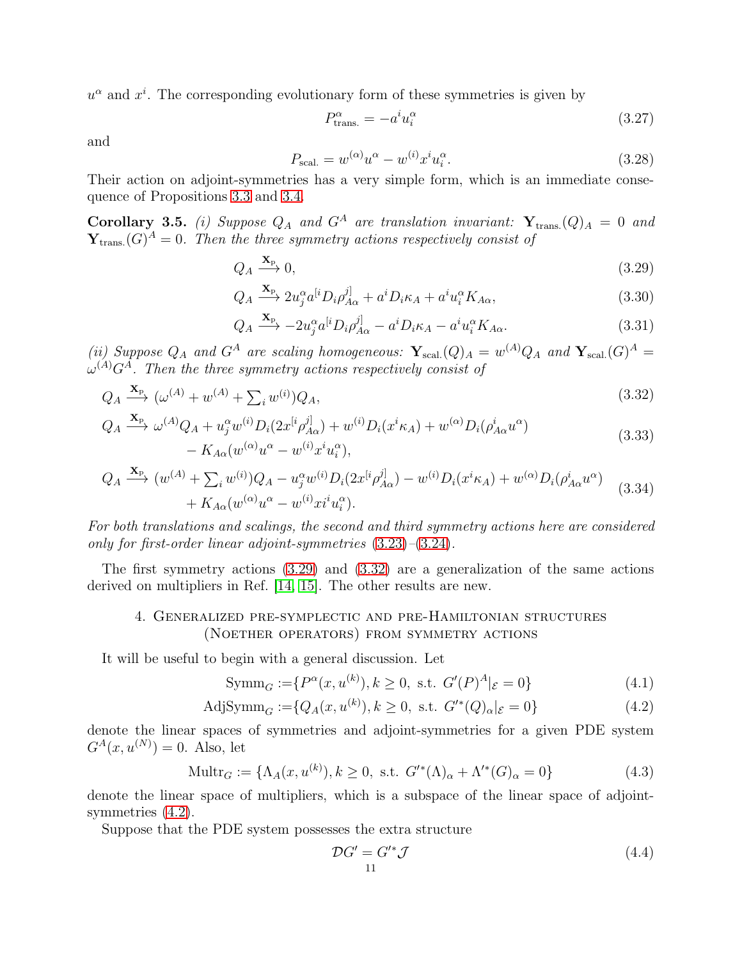$u^{\alpha}$  and  $x^{i}$ . The corresponding evolutionary form of these symmetries is given by

<span id="page-10-1"></span>
$$
P_{\text{trans.}}^{\alpha} = -a^i u_i^{\alpha} \tag{3.27}
$$

and

<span id="page-10-6"></span>
$$
P_{\text{scal.}} = w^{(\alpha)} u^{\alpha} - w^{(i)} x^{i} u_{i}^{\alpha}.
$$
\n
$$
(3.28)
$$

Their action on adjoint-symmetries has a very simple form, which is an immediate consequence of Propositions [3.3](#page-9-5) and [3.4.](#page-9-6)

Corollary 3.5. (i) Suppose  $Q_A$  and  $G^A$  are translation invariant:  $\mathbf{Y}_{trans.}(Q)_A = 0$  and  $\mathbf{Y}_{\text{trans.}}(G)^A=0$ . Then the three symmetry actions respectively consist of

$$
Q_A \xrightarrow{\mathbf{X}_{\mathrm{P}}} 0,\tag{3.29}
$$

$$
Q_A \xrightarrow{\mathbf{X}_{\text{P}}} 2u_j^{\alpha}a^{[i}D_i\rho_{A\alpha}^{j]} + a^iD_i\kappa_A + a^iu_i^{\alpha}K_{A\alpha},\tag{3.30}
$$

<span id="page-10-2"></span>
$$
Q_A \xrightarrow{\mathbf{X}_{\text{P}}} -2u_j^{\alpha}a^{[i}D_i\rho_{A\alpha}^{j]} - a^iD_i\kappa_A - a^iu_i^{\alpha}K_{A\alpha}.
$$
 (3.31)

(ii) Suppose  $Q_A$  and  $G^A$  are scaling homogeneous:  $\mathbf{Y}_{\text{scal.}}(Q)_A = w^{(A)}Q_A$  and  $\mathbf{Y}_{\text{scal.}}(G)^A =$  $\omega^{(A)}G^A$ . Then the three symmetry actions respectively consist of

$$
Q_A \xrightarrow{\mathbf{X}_{\text{P}}}\left(\omega^{(A)} + w^{(A)} + \sum_i w^{(i)}\right)Q_A,\tag{3.32}
$$

$$
Q_A \xrightarrow{\mathbf{X}_{\text{P}}} \omega^{(A)} Q_A + u_j^{\alpha} w^{(i)} D_i (2x^{[i} \rho_{A\alpha}^{j]}) + w^{(i)} D_i (x^{i} \kappa_A) + w^{(\alpha)} D_i (\rho_{A\alpha}^{i} u^{\alpha}) - K_{A\alpha} (w^{(\alpha)} u^{\alpha} - w^{(i)} x^{i} u_i^{\alpha}),
$$
\n(3.33)

$$
Q_A \xrightarrow{\mathbf{X}_{p}} (w^{(A)} + \sum_{i} w^{(i)}) Q_A - u_j^{\alpha} w^{(i)} D_i (2x^{[i} \rho_{A\alpha}^{j]}) - w^{(i)} D_i (x^{i} \kappa_A) + w^{(\alpha)} D_i (\rho_{A\alpha}^{i} u^{\alpha}) + K_{A\alpha} (w^{(\alpha)} u^{\alpha} - w^{(i)} x^{i} u_i^{\alpha}).
$$
\n(3.34)

For both translations and scalings, the second and third symmetry actions here are considered only for first-order linear adjoint-symmetries [\(3.23\)](#page-9-1)–[\(3.24\)](#page-9-2).

<span id="page-10-0"></span>The first symmetry actions [\(3.29\)](#page-10-1) and [\(3.32\)](#page-10-2) are a generalization of the same actions derived on multipliers in Ref. [\[14,](#page-26-13) [15\]](#page-26-14). The other results are new.

# 4. Generalized pre-symplectic and pre-Hamiltonian structures (Noether operators) from symmetry actions

It will be useful to begin with a general discussion. Let

$$
Symm_G := \{ P^{\alpha}(x, u^{(k)}), k \ge 0, \text{ s.t. } G'(P)^{A} |_{\mathcal{E}} = 0 \}
$$
\n(4.1)

AdjSymm<sub>G</sub> := {
$$
Q_A(x, u^{(k)})
$$
,  $k \ge 0$ , s.t.  $G'^*(Q)_{\alpha}|_{\mathcal{E}} = 0$ } 
$$
(4.2)
$$

denote the linear spaces of symmetries and adjoint-symmetries for a given PDE system  $G^{A}(x, u^{(N)}) = 0.$  Also, let

$$
\text{Multr}_G := \{ \Lambda_A(x, u^{(k)}), k \ge 0, \text{ s.t. } G'^*(\Lambda)_\alpha + \Lambda'^*(G)_\alpha = 0 \} \tag{4.3}
$$

denote the linear space of multipliers, which is a subspace of the linear space of adjointsymmetries  $(4.2)$ .

Suppose that the PDE system possesses the extra structure

<span id="page-10-5"></span><span id="page-10-4"></span><span id="page-10-3"></span>
$$
\mathcal{D}G' = G'^*\mathcal{J}
$$
\n<sup>(4.4)</sup>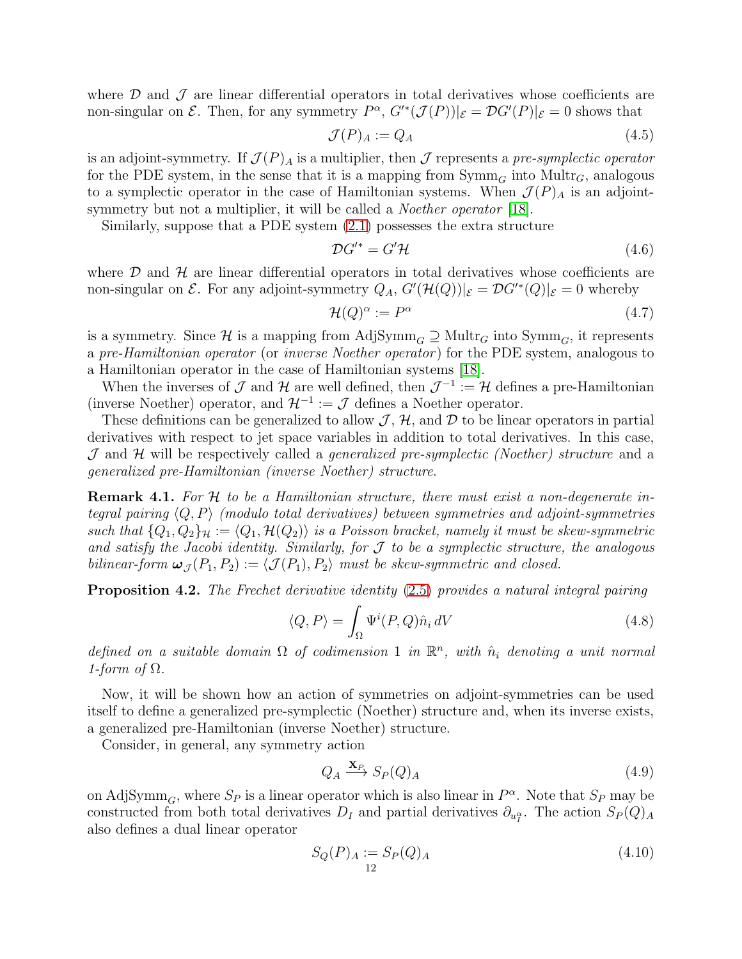where  $\mathcal D$  and  $\mathcal J$  are linear differential operators in total derivatives whose coefficients are non-singular on  $\mathcal E$ . Then, for any symmetry  $P^{\alpha}$ ,  $G'^{*}(\mathcal J(P))|_{\mathcal E}=\mathcal D G'(P)|_{\mathcal E}=0$  shows that

$$
\mathcal{J}(P)_A := Q_A \tag{4.5}
$$

is an adjoint-symmetry. If  $\mathcal{J}(P)_A$  is a multiplier, then  $\mathcal J$  represents a pre-symplectic operator for the PDE system, in the sense that it is a mapping from  $\text{Symm}_G$  into  $\text{Mult}_{G}$ , analogous to a symplectic operator in the case of Hamiltonian systems. When  $\mathcal{J}(P)_A$  is an adjointsymmetry but not a multiplier, it will be called a *Noether operator* [\[18\]](#page-26-17).

Similarly, suppose that a PDE system [\(2.1\)](#page-3-1) possesses the extra structure

$$
\mathcal{D}G^{\prime*} = G^{\prime}\mathcal{H} \tag{4.6}
$$

where  $D$  and  $H$  are linear differential operators in total derivatives whose coefficients are non-singular on  $\mathcal E$ . For any adjoint-symmetry  $Q_A$ ,  $G'(\mathcal H(Q))|_{\mathcal E} = \mathcal D G'^*(Q)|_{\mathcal E} = 0$  whereby

$$
\mathcal{H}(Q)^{\alpha} := P^{\alpha} \tag{4.7}
$$

is a symmetry. Since H is a mapping from AdjSymm<sub>G</sub>  $\supseteq$  Multr<sub>G</sub> into Symm<sub>G</sub>, it represents a pre-Hamiltonian operator (or inverse Noether operator) for the PDE system, analogous to a Hamiltonian operator in the case of Hamiltonian systems [\[18\]](#page-26-17).

When the inverses of  $\mathcal J$  and  $\mathcal H$  are well defined, then  $\mathcal J^{-1} := \mathcal H$  defines a pre-Hamiltonian (inverse Noether) operator, and  $\mathcal{H}^{-1} := \mathcal{J}$  defines a Noether operator.

These definitions can be generalized to allow  $\mathcal{J}, \mathcal{H}$ , and  $\mathcal{D}$  to be linear operators in partial derivatives with respect to jet space variables in addition to total derivatives. In this case,  $J$  and  $H$  will be respectively called a *generalized pre-symplectic (Noether) structure* and a generalized pre-Hamiltonian (inverse Noether) structure.

<span id="page-11-2"></span>**Remark 4.1.** For H to be a Hamiltonian structure, there must exist a non-degenerate integral pairing  $\langle Q, P \rangle$  (modulo total derivatives) between symmetries and adjoint-symmetries such that  $\{Q_1, Q_2\}_\mathcal{H} := \langle Q_1, \mathcal{H}(Q_2) \rangle$  is a Poisson bracket, namely it must be skew-symmetric and satisfy the Jacobi identity. Similarly, for  $\mathcal J$  to be a symplectic structure, the analogous bilinear-form  $\omega_{\mathcal{J}}(P_1, P_2) := \langle \mathcal{J}(P_1), P_2 \rangle$  must be skew-symmetric and closed.

Proposition 4.2. The Frechet derivative identity [\(2.5\)](#page-4-3) provides a natural integral pairing

$$
\langle Q, P \rangle = \int_{\Omega} \Psi^i(P, Q) \hat{n}_i \, dV \tag{4.8}
$$

defined on a suitable domain  $\Omega$  of codimension 1 in  $\mathbb{R}^n$ , with  $\hat{n}_i$  denoting a unit normal 1-form of  $\Omega$ .

Now, it will be shown how an action of symmetries on adjoint-symmetries can be used itself to define a generalized pre-symplectic (Noether) structure and, when its inverse exists, a generalized pre-Hamiltonian (inverse Noether) structure.

Consider, in general, any symmetry action

<span id="page-11-1"></span>
$$
Q_A \xrightarrow{\mathbf{X}_P} S_P(Q)_A \tag{4.9}
$$

on AdjSymm<sub>G</sub>, where  $S_P$  is a linear operator which is also linear in  $P^{\alpha}$ . Note that  $S_P$  may be constructed from both total derivatives  $D_I$  and partial derivatives  $\partial_{u_I^{\alpha}}$ . The action  $S_P(Q)_A$ also defines a dual linear operator

<span id="page-11-0"></span>
$$
S_Q(P)_A := S_P(Q)_A
$$
\n(4.10)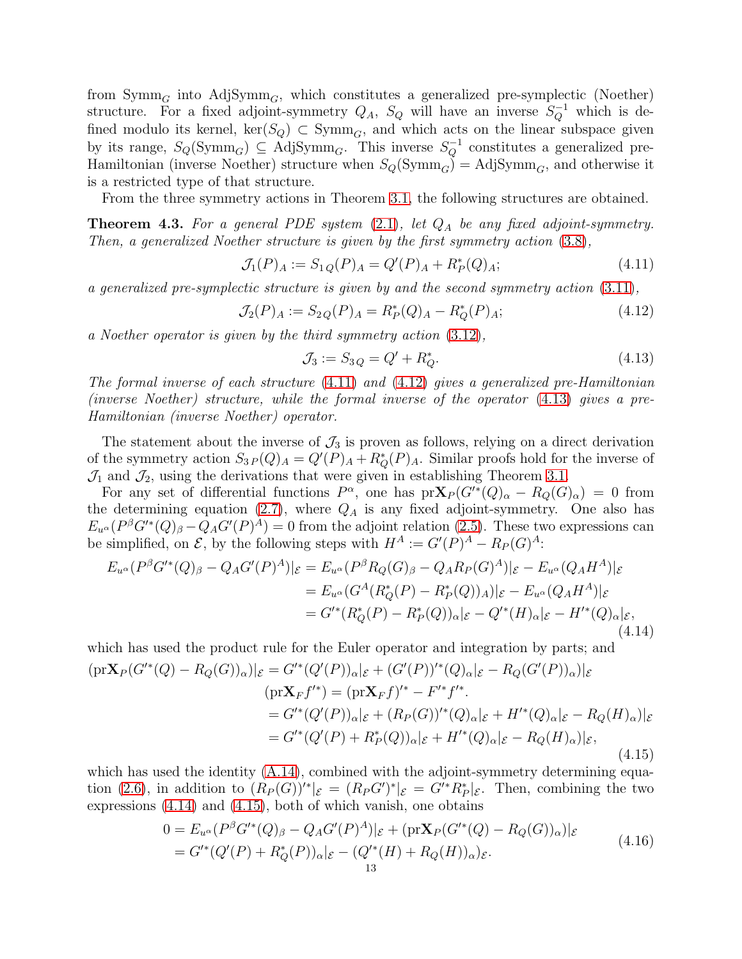from  $\text{Symm}_G$  into  $\text{AdjSymm}_G$ , which constitutes a generalized pre-symplectic (Noether) structure. For a fixed adjoint-symmetry  $Q_A$ ,  $S_Q$  will have an inverse  $S_Q^{-1}$  which is defined modulo its kernel,  $\ker(S_Q) \subset \mathrm{Symm}_G$ , and which acts on the linear subspace given by its range,  $S_Q(\text{Symm}_G) \subseteq \text{AdjSymm}_G$ . This inverse  $S_Q^{-1}$  constitutes a generalized pre-Hamiltonian (inverse Noether) structure when  $S_Q(\mathrm{Symm}_G) = \mathrm{Adj} \mathrm{Symm}_G$ , and otherwise it is a restricted type of that structure.

From the three symmetry actions in Theorem [3.1,](#page-7-3) the following structures are obtained.

<span id="page-12-5"></span>**Theorem 4.3.** For a general PDE system  $(2.1)$ , let  $Q_A$  be any fixed adjoint-symmetry. Then, a generalized Noether structure is given by the first symmetry action [\(3.8\)](#page-6-5),

<span id="page-12-0"></span>
$$
\mathcal{J}_1(P)_A := S_{1Q}(P)_A = Q'(P)_A + R_P^*(Q)_A; \tag{4.11}
$$

a generalized pre-symplectic structure is given by and the second symmetry action [\(3.11\)](#page-7-0),

<span id="page-12-1"></span>
$$
\mathcal{J}_2(P)_A := S_{2Q}(P)_A = R_P^*(Q)_A - R_Q^*(P)_A; \tag{4.12}
$$

a Noether operator is given by the third symmetry action [\(3.12\)](#page-7-1),

<span id="page-12-2"></span>
$$
\mathcal{J}_3 := S_{3Q} = Q' + R_Q^*.
$$
\n(4.13)

The formal inverse of each structure  $(4.11)$  and  $(4.12)$  gives a generalized pre-Hamiltonian (inverse Noether) structure, while the formal inverse of the operator [\(4.13\)](#page-12-2) gives a pre-Hamiltonian (inverse Noether) operator.

The statement about the inverse of  $\mathcal{J}_3$  is proven as follows, relying on a direct derivation of the symmetry action  $S_{3P}(Q)_A = Q'(P)_A + R_Q^*(P)_A$ . Similar proofs hold for the inverse of  $\mathcal{J}_1$  and  $\mathcal{J}_2$ , using the derivations that were given in establishing Theorem [3.1.](#page-7-3)

For any set of differential functions  $P^{\alpha}$ , one has  $pr\mathbf{X}_P(G'^*(Q)_{\alpha} - R_Q(G)_{\alpha}) = 0$  from the determining equation [\(2.7\)](#page-4-0), where  $Q_A$  is any fixed adjoint-symmetry. One also has  $E_{u} (P^{\beta} G'^*(Q)_{\beta} - Q_A G'(P)^A) = 0$  from the adjoint relation [\(2.5\)](#page-4-3). These two expressions can be simplified, on  $\mathcal{E}$ , by the following steps with  $H^A := G'(P)^A - R_P(G)^A$ :

<span id="page-12-3"></span>
$$
E_{u^{\alpha}}(P^{\beta}G'^{*}(Q)_{\beta} - Q_{A}G'(P)^{A})|_{\mathcal{E}} = E_{u^{\alpha}}(P^{\beta}R_{Q}(G)_{\beta} - Q_{A}R_{P}(G)^{A})|_{\mathcal{E}} - E_{u^{\alpha}}(Q_{A}H^{A})|_{\mathcal{E}}
$$
  
\n
$$
= E_{u^{\alpha}}(G^{A}(R_{Q}^{*}(P) - R_{P}^{*}(Q))_{A})|_{\mathcal{E}} - E_{u^{\alpha}}(Q_{A}H^{A})|_{\mathcal{E}}
$$
  
\n
$$
= G'^{*}(R_{Q}^{*}(P) - R_{P}^{*}(Q))_{\alpha}|_{\mathcal{E}} - Q'^{*}(H)_{\alpha}|_{\mathcal{E}} - H'^{*}(Q)_{\alpha}|_{\mathcal{E}}, \tag{4.14}
$$

<span id="page-12-4"></span>which has used the product rule for the Euler operator and integration by parts; and  
\n
$$
(\text{pr}\mathbf{X}_P(G'^*(Q) - R_Q(G))_\alpha)|_{\mathcal{E}} = G'^*(Q'(P))_\alpha|_{\mathcal{E}} + (G'(P))'^*(Q)_\alpha|_{\mathcal{E}} - R_Q(G'(P))_\alpha)|_{\mathcal{E}}
$$
\n
$$
(\text{pr}\mathbf{X}_F f'^*) = (\text{pr}\mathbf{X}_F f)^* - F'^* f'^*.
$$
\n
$$
= G'^*(Q'(P))_\alpha|_{\mathcal{E}} + (R_P(G))'^*(Q)_\alpha|_{\mathcal{E}} + H'^*(Q)_\alpha|_{\mathcal{E}} - R_Q(H)_\alpha)|_{\mathcal{E}}
$$
\n
$$
= G'^*(Q'(P) + R_P^*(Q))_\alpha|_{\mathcal{E}} + H'^*(Q)_\alpha|_{\mathcal{E}} - R_Q(H)_\alpha)|_{\mathcal{E}},
$$
\n(4.15)

which has used the identity  $(A.14)$ , combined with the adjoint-symmetry determining equa-tion [\(2.6\)](#page-4-2), in addition to  $(R_P(G))'^*|_{\mathcal{E}} = (R_P G')^*|_{\mathcal{E}} = G'^* R_P^*|_{\mathcal{E}}$ . Then, combining the two expressions [\(4.14\)](#page-12-3) and [\(4.15\)](#page-12-4), both of which vanish, one obtains

$$
0 = E_{u^{\alpha}}(P^{\beta}G'^{*}(Q)_{\beta} - Q_{A}G'(P)^{A})|_{\mathcal{E}} + (\text{pr}\mathbf{X}_{P}(G'^{*}(Q) - R_{Q}(G))_{\alpha})|_{\mathcal{E}}
$$
  
=  $G'^{*}(Q'(P) + R_{Q}^{*}(P))_{\alpha}|_{\mathcal{E}} - (Q'^{*}(H) + R_{Q}(H))_{\alpha})_{\mathcal{E}}.$  (4.16)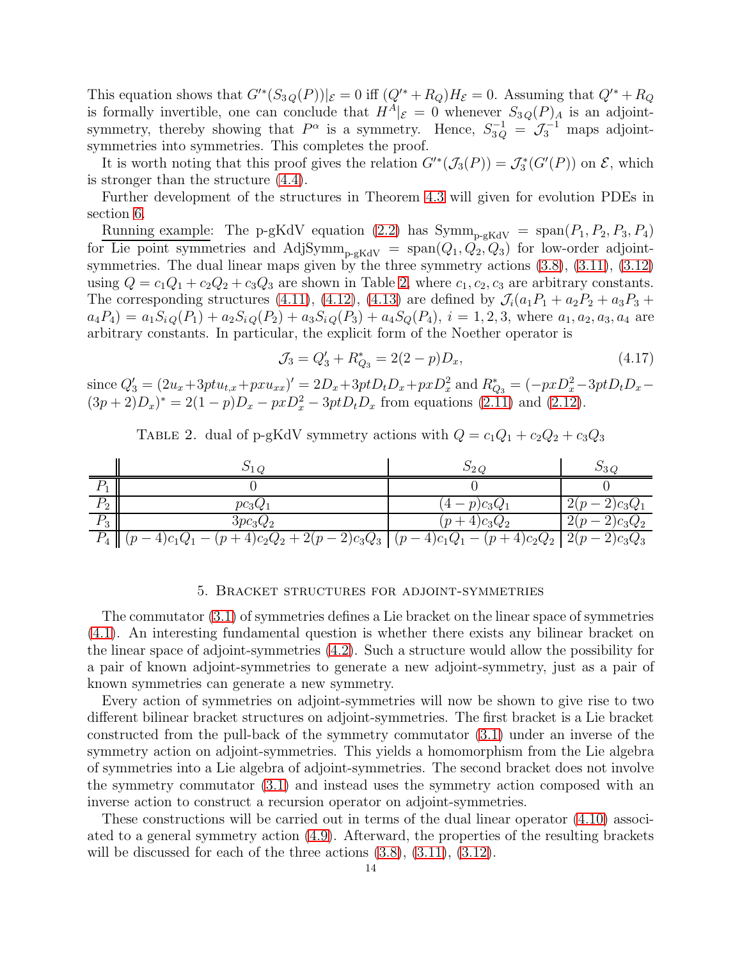This equation shows that  $G'^*(S_{3Q}(P))|_{\mathcal{E}} = 0$  iff  $(Q'^* + R_Q)H_{\mathcal{E}} = 0$ . Assuming that  $Q'^* + R_Q$ is formally invertible, one can conclude that  $H^A|_{\mathcal{E}} = 0$  whenever  $S_{3Q}(P)_A$  is an adjointsymmetry, thereby showing that  $P^{\alpha}$  is a symmetry. Hence,  $S_{3Q}^{-1} = \mathcal{J}_3^{-1}$  maps adjointsymmetries into symmetries. This completes the proof.

It is worth noting that this proof gives the relation  $G'^*(\mathcal{J}_3(P)) = \mathcal{J}_3^*(G'(P))$  on  $\mathcal{E}$ , which is stronger than the structure [\(4.4\)](#page-10-4).

Further development of the structures in Theorem [4.3](#page-12-5) will given for evolution PDEs in section [6.](#page-20-0)

Running example: The p-gKdV equation [\(2.2\)](#page-3-4) has  $Symm_{p-gKdV} = span(P_1, P_2, P_3, P_4)$ for Lie point symmetries and AdjSymm<sub>p-gKdV</sub> =  $\text{span}(Q_1, Q_2, Q_3)$  for low-order adjointsymmetries. The dual linear maps given by the three symmetry actions  $(3.8)$ ,  $(3.11)$ ,  $(3.12)$ using  $Q = c_1Q_1 + c_2Q_2 + c_3Q_3$  are shown in Table [2,](#page-13-1) where  $c_1, c_2, c_3$  are arbitrary constants. The corresponding structures [\(4.11\)](#page-12-0), [\(4.12\)](#page-12-1), [\(4.13\)](#page-12-2) are defined by  $\mathcal{J}_i(a_1P_1 + a_2P_2 + a_3P_3 +$  $a_4P_4$  =  $a_1S_{iQ}(P_1) + a_2S_{iQ}(P_2) + a_3S_{iQ}(P_3) + a_4S_{Q}(P_4), i = 1, 2, 3$ , where  $a_1, a_2, a_3, a_4$  are arbitrary constants. In particular, the explicit form of the Noether operator is

<span id="page-13-2"></span>
$$
\mathcal{J}_3 = Q'_3 + R^*_{Q_3} = 2(2 - p)D_x,\tag{4.17}
$$

<span id="page-13-1"></span>since  $Q'_3 = (2u_x + 3ptu_{t,x} + pxu_{xx})' = 2D_x + 3ptD_tD_x + pxD_x^2$  and  $R_{Q_3}^* = (-pxD_x^2 - 3ptD_tD_x (3p+2)D_x^* = 2(1-p)D_x - pxD_x^2 - 3ptD_tD_x$  from equations [\(2.11\)](#page-5-1) and [\(2.12\)](#page-5-2).

TABLE 2. dual of p-gKdV symmetry actions with  $Q = c_1Q_1 + c_2Q_2 + c_3Q_3$ 

|                   |                                                                                                 | ⊃ി                                   |                                   |
|-------------------|-------------------------------------------------------------------------------------------------|--------------------------------------|-----------------------------------|
|                   |                                                                                                 |                                      |                                   |
| D<br>$\Gamma$ ?   | $pc_3Q$                                                                                         | $)c_3Q$                              |                                   |
| $D_{\rm q}$<br>٠J | 3pc <sub>3</sub> Q <sub>2</sub>                                                                 | $c_3Q_2$                             | ↵                                 |
|                   | $r - 2)c_3Q_3$<br>$(4)c_2Q_2$<br>$C_1Q_1$<br>$\boldsymbol{\eta}$<br>$+2(p)$<br>$\boldsymbol{n}$ | $(4)C_1Q_1 -$<br>$p +$<br>$4)c_2Q_2$ | $\Omega$<br>$)c_3Q_3$<br>$\Delta$ |

#### 5. Bracket structures for adjoint-symmetries

<span id="page-13-0"></span>The commutator [\(3.1\)](#page-6-1) of symmetries defines a Lie bracket on the linear space of symmetries [\(4.1\)](#page-10-5). An interesting fundamental question is whether there exists any bilinear bracket on the linear space of adjoint-symmetries [\(4.2\)](#page-10-3). Such a structure would allow the possibility for a pair of known adjoint-symmetries to generate a new adjoint-symmetry, just as a pair of known symmetries can generate a new symmetry.

Every action of symmetries on adjoint-symmetries will now be shown to give rise to two different bilinear bracket structures on adjoint-symmetries. The first bracket is a Lie bracket constructed from the pull-back of the symmetry commutator [\(3.1\)](#page-6-1) under an inverse of the symmetry action on adjoint-symmetries. This yields a homomorphism from the Lie algebra of symmetries into a Lie algebra of adjoint-symmetries. The second bracket does not involve the symmetry commutator [\(3.1\)](#page-6-1) and instead uses the symmetry action composed with an inverse action to construct a recursion operator on adjoint-symmetries.

These constructions will be carried out in terms of the dual linear operator [\(4.10\)](#page-11-0) associated to a general symmetry action [\(4.9\)](#page-11-1). Afterward, the properties of the resulting brackets will be discussed for each of the three actions  $(3.8), (3.11), (3.12).$  $(3.8), (3.11), (3.12).$  $(3.8), (3.11), (3.12).$  $(3.8), (3.11), (3.12).$  $(3.8), (3.11), (3.12).$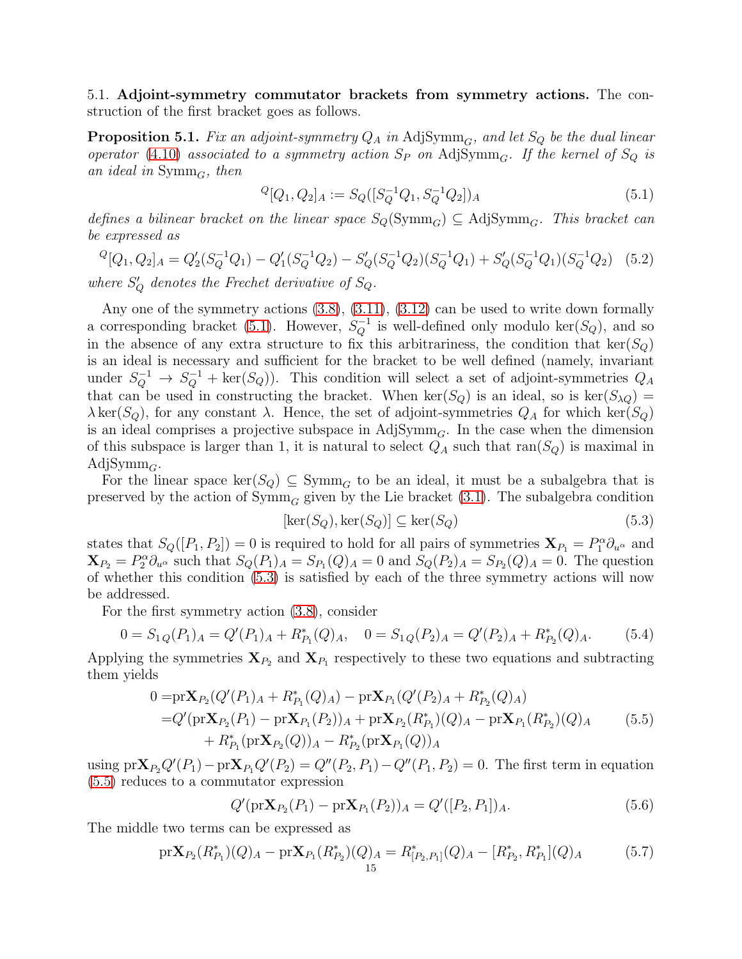5.1. Adjoint-symmetry commutator brackets from symmetry actions. The construction of the first bracket goes as follows.

<span id="page-14-5"></span>**Proposition 5.1.** Fix an adjoint-symmetry  $Q_A$  in AdjSymm<sub>G</sub>, and let  $S_Q$  be the dual linear operator [\(4.10\)](#page-11-0) associated to a symmetry action  $S_P$  on AdjSymm<sub>G</sub>. If the kernel of  $S_Q$  is an ideal in  $\text{Symm}_G$ , then

<span id="page-14-0"></span>
$$
{}^{Q}[Q_1, Q_2]_A := S_Q([S_Q^{-1}Q_1, S_Q^{-1}Q_2])_A
$$
\n
$$
(5.1)
$$

defines a bilinear bracket on the linear space  $S_Q(Symm_G) \subseteq \text{AdjSymm}_G$ . This bracket can be expressed as

$$
{}^{Q}[Q_1, Q_2]_A = Q_2'(S_Q^{-1}Q_1) - Q_1'(S_Q^{-1}Q_2) - S_Q'(S_Q^{-1}Q_2)(S_Q^{-1}Q_1) + S_Q'(S_Q^{-1}Q_1)(S_Q^{-1}Q_2) \tag{5.2}
$$

where  $S'_{Q}$  denotes the Frechet derivative of  $S_{Q}$ .

Any one of the symmetry actions [\(3.8\)](#page-6-5), [\(3.11\)](#page-7-0), [\(3.12\)](#page-7-1) can be used to write down formally a corresponding bracket [\(5.1\)](#page-14-0). However,  $S_Q^{-1}$  is well-defined only modulo ker( $S_Q$ ), and so in the absence of any extra structure to fix this arbitrariness, the condition that  $\text{ker}(S_Q)$ is an ideal is necessary and sufficient for the bracket to be well defined (namely, invariant under  $S_Q^{-1} \to S_Q^{-1}$  + ker( $S_Q$ )). This condition will select a set of adjoint-symmetries  $Q_A$ that can be used in constructing the bracket. When  $\ker(S_Q)$  is an ideal, so is  $\ker(S_{\lambda Q}) =$  $\lambda \text{ ker}(S_Q)$ , for any constant  $\lambda$ . Hence, the set of adjoint-symmetries  $Q_A$  for which ker( $S_Q$ ) is an ideal comprises a projective subspace in  $\text{AdjSymm}_G$ . In the case when the dimension of this subspace is larger than 1, it is natural to select  $Q_A$  such that ran( $S_Q$ ) is maximal in Adj $Symm_G$ .

For the linear space  $\ker(S_Q) \subseteq \text{Symm}_G$  to be an ideal, it must be a subalgebra that is preserved by the action of  $\text{Symm}_G$  given by the Lie bracket [\(3.1\)](#page-6-1). The subalgebra condition

<span id="page-14-1"></span>
$$
[\ker(S_Q), \ker(S_Q)] \subseteq \ker(S_Q) \tag{5.3}
$$

states that  $S_Q([P_1, P_2]) = 0$  is required to hold for all pairs of symmetries  $\mathbf{X}_{P_1} = P_1^{\alpha} \partial_{u^{\alpha}}$  and  $\mathbf{X}_{P_2} = P_2^{\alpha} \partial_{u^{\alpha}}$  such that  $S_Q(P_1)_A = S_{P_1}(Q)_A = 0$  and  $S_Q(P_2)_A = S_{P_2}(Q)_A = 0$ . The question of whether this condition [\(5.3\)](#page-14-1) is satisfied by each of the three symmetry actions will now be addressed.

For the first symmetry action [\(3.8\)](#page-6-5), consider

<span id="page-14-4"></span>
$$
0 = S_{1Q}(P_1)_A = Q'(P_1)_A + R_{P_1}^*(Q)_A, \quad 0 = S_{1Q}(P_2)_A = Q'(P_2)_A + R_{P_2}^*(Q)_A.
$$
 (5.4)

Applying the symmetries  $\mathbf{X}_{P_2}$  and  $\mathbf{X}_{P_1}$  respectively to these two equations and subtracting them yields

<span id="page-14-2"></span>
$$
0 = pr\mathbf{X}_{P_2}(Q'(P_1)_A + R_{P_1}^*(Q)_A) - pr\mathbf{X}_{P_1}(Q'(P_2)_A + R_{P_2}^*(Q)_A)
$$
  
=  $Q'(pr\mathbf{X}_{P_2}(P_1) - pr\mathbf{X}_{P_1}(P_2))_A + pr\mathbf{X}_{P_2}(R_{P_1}^*)(Q)_A - pr\mathbf{X}_{P_1}(R_{P_2}^*)(Q)_A$  (5.5)  
+  $R_{P_1}^*(pr\mathbf{X}_{P_2}(Q))_A - R_{P_2}^*(pr\mathbf{X}_{P_1}(Q))_A$ 

using  $\mathrm{pr}\mathbf{X}_{P_2}Q'(P_1) - \mathrm{pr}\mathbf{X}_{P_1}Q'(P_2) = Q''(P_2, P_1) - Q''(P_1, P_2) = 0$ . The first term in equation [\(5.5\)](#page-14-2) reduces to a commutator expression

$$
Q'(\text{pr}\mathbf{X}_{P_2}(P_1) - \text{pr}\mathbf{X}_{P_1}(P_2))_A = Q'([P_2, P_1])_A.
$$
\n(5.6)

The middle two terms can be expressed as

<span id="page-14-3"></span>
$$
\text{pr}\mathbf{X}_{P_2}(R_{P_1}^*)(Q)_A - \text{pr}\mathbf{X}_{P_1}(R_{P_2}^*)(Q)_A = R_{[P_2, P_1]}^*(Q)_A - [R_{P_2}^*, R_{P_1}^*](Q)_A \tag{5.7}
$$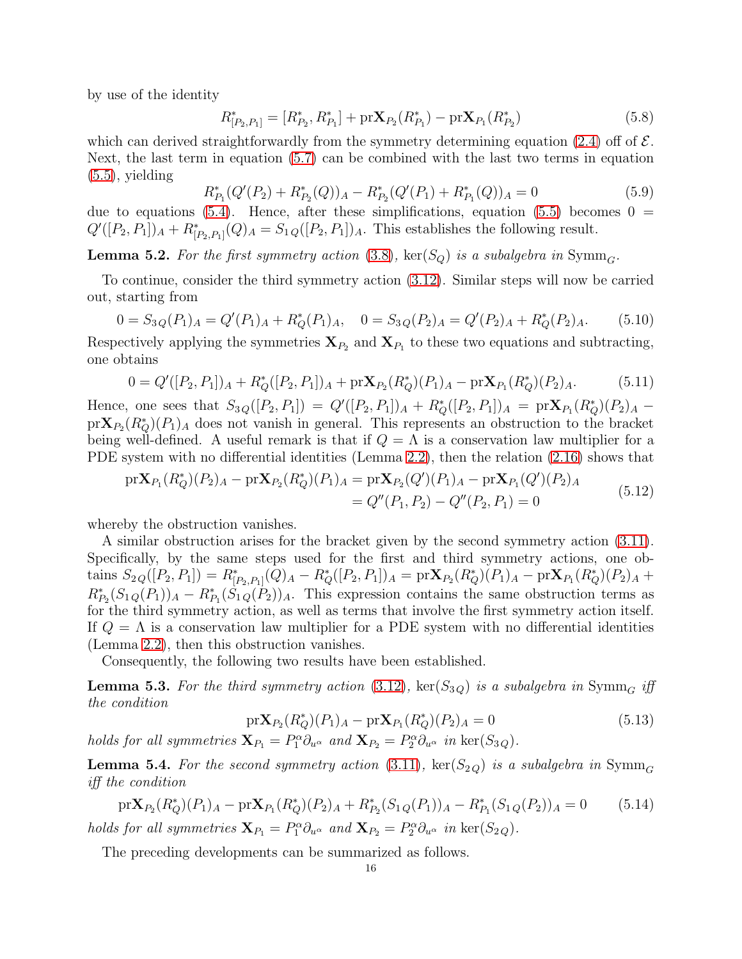by use of the identity

$$
R_{[P_2, P_1]}^* = [R_{P_2}^*, R_{P_1}^*] + \text{pr} \mathbf{X}_{P_2}(R_{P_1}^*) - \text{pr} \mathbf{X}_{P_1}(R_{P_2}^*)
$$
(5.8)

which can derived straightforwardly from the symmetry determining equation [\(2.4\)](#page-4-1) off of  $\mathcal{E}$ . Next, the last term in equation [\(5.7\)](#page-14-3) can be combined with the last two terms in equation  $(5.5)$ , yielding

$$
R_{P_1}^*(Q'(P_2) + R_{P_2}^*(Q))_A - R_{P_2}^*(Q'(P_1) + R_{P_1}^*(Q))_A = 0
$$
\n
$$
(5.9)
$$

due to equations [\(5.4\)](#page-14-4). Hence, after these simplifications, equation [\(5.5\)](#page-14-2) becomes  $0 =$  $Q'([P_2, P_1])_A + R^*_{[P_2, P_1]}(Q)_A = S_{1\,Q}([P_2, P_1])_A$ . This establishes the following result.

**Lemma 5.2.** For the first symmetry action [\(3.8\)](#page-6-5), ker( $S_Q$ ) is a subalgebra in Symm<sub>G</sub>.

To continue, consider the third symmetry action [\(3.12\)](#page-7-1). Similar steps will now be carried out, starting from

$$
0 = S_3 Q(P_1)_A = Q'(P_1)_A + R_Q^*(P_1)_A, \quad 0 = S_3 Q(P_2)_A = Q'(P_2)_A + R_Q^*(P_2)_A. \tag{5.10}
$$

Respectively applying the symmetries  $\mathbf{X}_{P_2}$  and  $\mathbf{X}_{P_1}$  to these two equations and subtracting, one obtains

$$
0 = Q'([P_2, P_1])_A + R_Q^*([P_2, P_1])_A + \text{pr}\mathbf{X}_{P_2}(R_Q^*)(P_1)_A - \text{pr}\mathbf{X}_{P_1}(R_Q^*)(P_2)_A.
$$
 (5.11)

Hence, one sees that  $S_3 Q([P_2, P_1]) = Q'([P_2, P_1])_A + R_Q^*([P_2, P_1])_A = \text{prX}_{P_1}(R_Q^*)(P_2)_A$  $prX_{P_2}(R_Q^*)(P_1)_A$  does not vanish in general. This represents an obstruction to the bracket being well-defined. A useful remark is that if  $Q = \Lambda$  is a conservation law multiplier for a PDE system with no differential identities (Lemma [2.2\)](#page-3-5), then the relation [\(2.16\)](#page-5-0) shows that

$$
\begin{split} \mathrm{pr}\mathbf{X}_{P_1}(R_Q^*)(P_2)_A - \mathrm{pr}\mathbf{X}_{P_2}(R_Q^*)(P_1)_A &= \mathrm{pr}\mathbf{X}_{P_2}(Q')(P_1)_A - \mathrm{pr}\mathbf{X}_{P_1}(Q')(P_2)_A \\ &= Q''(P_1, P_2) - Q''(P_2, P_1) = 0 \end{split} \tag{5.12}
$$

whereby the obstruction vanishes.

A similar obstruction arises for the bracket given by the second symmetry action [\(3.11\)](#page-7-0). Specifically, by the same steps used for the first and third symmetry actions, one obtains  $S_{2Q}([P_2, P_1]) = R_{[P_2, P_1]}^*(Q)_A - R_Q^*([P_2, P_1])_A = \text{pr} \mathbf{X}_{P_2}(R_Q^*)(P_1)_A - \text{pr} \mathbf{X}_{P_1}(R_Q^*)(P_2)_A +$  $R_{P_2}^*(S_{1Q}(P_1))_A - R_{P_1}^*(S_{1Q}(P_2))_A$ . This expression contains the same obstruction terms as for the third symmetry action, as well as terms that involve the first symmetry action itself. If  $Q = \Lambda$  is a conservation law multiplier for a PDE system with no differential identities (Lemma [2.2\)](#page-3-5), then this obstruction vanishes.

Consequently, the following two results have been established.

**Lemma 5.3.** For the third symmetry action [\(3.12\)](#page-7-1), ker( $S_{3Q}$ ) is a subalgebra in Symm<sub>G</sub> iff the condition

<span id="page-15-1"></span>
$$
\text{pr}\mathbf{X}_{P_2}(R_Q^*)(P_1)_A - \text{pr}\mathbf{X}_{P_1}(R_Q^*)(P_2)_A = 0 \tag{5.13}
$$

holds for all symmetries  $\mathbf{X}_{P_1} = P_1^{\alpha} \partial_{u^{\alpha}}$  and  $\mathbf{X}_{P_2} = P_2^{\alpha} \partial_{u^{\alpha}}$  in  $\text{ker}(S_{3Q})$ .

**Lemma 5.4.** For the second symmetry action [\(3.11\)](#page-7-0),  $\text{ker}(S_{2Q})$  is a subalgebra in  $\text{Symm}_G$ iff the condition

<span id="page-15-0"></span>
$$
\text{pr}\mathbf{X}_{P_2}(R_Q^*)(P_1)_A - \text{pr}\mathbf{X}_{P_1}(R_Q^*)(P_2)_A + R_{P_2}^*(S_{1Q}(P_1))_A - R_{P_1}^*(S_{1Q}(P_2))_A = 0 \tag{5.14}
$$
\n
$$
\text{for all symmetries } \mathbf{X}_P = P^{\alpha} \partial_{\alpha} \text{ and } \mathbf{X}_P = P^{\alpha} \partial_{\alpha} \text{ in } \text{loc}(S_{12})
$$

holds for all symmetries  $\mathbf{X}_{P_1} = P_1^{\alpha} \partial_{u^{\alpha}}$  and  $\mathbf{X}_{P_2} = P_2^{\alpha} \partial_{u^{\alpha}}$  in  $\text{ker}(S_{2Q})$ .

The preceding developments can be summarized as follows.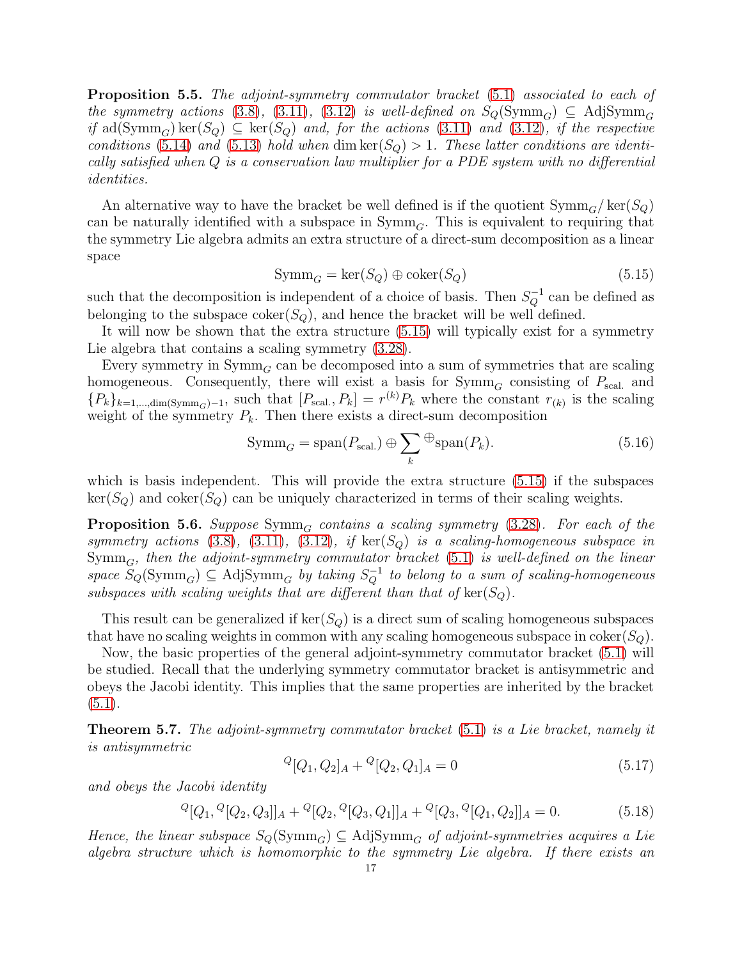<span id="page-16-1"></span>Proposition 5.5. The adjoint-symmetry commutator bracket [\(5.1\)](#page-14-0) associated to each of the symmetry actions [\(3.8\)](#page-6-5), [\(3.11\)](#page-7-0), [\(3.12\)](#page-7-1) is well-defined on  $S_Q(\mathrm{Symm}_G) \subseteq \mathrm{Adj}Symm_G$ if ad(Symm<sub>G</sub>) ker(S<sub>Q</sub>)  $\subseteq$  ker(S<sub>Q</sub>) and, for the actions [\(3.11\)](#page-7-0) and [\(3.12\)](#page-7-1), if the respective conditions [\(5.14\)](#page-15-0) and [\(5.13\)](#page-15-1) hold when dim  $\ker(S_Q) > 1$ . These latter conditions are identically satisfied when Q is a conservation law multiplier for a PDE system with no differential identities.

An alternative way to have the bracket be well defined is if the quotient  $\text{Symm}_G/\text{ker}(S_Q)$ can be naturally identified with a subspace in  $\text{Symm}_G$ . This is equivalent to requiring that the symmetry Lie algebra admits an extra structure of a direct-sum decomposition as a linear space

<span id="page-16-0"></span>
$$
Symm_G = \ker(S_Q) \oplus \text{coker}(S_Q) \tag{5.15}
$$

such that the decomposition is independent of a choice of basis. Then  $S_Q^{-1}$  can be defined as belonging to the subspace  $\text{coker}(S_Q)$ , and hence the bracket will be well defined.

It will now be shown that the extra structure [\(5.15\)](#page-16-0) will typically exist for a symmetry Lie algebra that contains a scaling symmetry [\(3.28\)](#page-10-6).

Every symmetry in  $\text{Symm}_G$  can be decomposed into a sum of symmetries that are scaling homogeneous. Consequently, there will exist a basis for  $\mathrm{Symm}_G$  consisting of  $P_{\text{scal.}}$  and  ${P_k}_{k=1,\dots,\text{dim}(Symm_G)-1}$ , such that  $[P_{\text{scal}}\, , P_k] = r^{(k)}P_k$  where the constant  $r_{(k)}$  is the scaling weight of the symmetry  $P_k$ . Then there exists a direct-sum decomposition

$$
Symm_G = span(P_{scal.}) \oplus \sum_{k} \mathcal{F} span(P_k). \tag{5.16}
$$

which is basis independent. This will provide the extra structure  $(5.15)$  if the subspaces  $\ker(S_Q)$  and coker $(S_Q)$  can be uniquely characterized in terms of their scaling weights.

<span id="page-16-2"></span>**Proposition 5.6.** Suppose Symm<sub>G</sub> contains a scaling symmetry [\(3.28\)](#page-10-6). For each of the symmetry actions [\(3.8\)](#page-6-5), [\(3.11\)](#page-7-0), [\(3.12\)](#page-7-1), if  $\text{ker}(S_{\mathcal{O}})$  is a scaling-homogeneous subspace in  $\text{Symm}_G$ , then the adjoint-symmetry commutator bracket [\(5.1\)](#page-14-0) is well-defined on the linear space  $S_Q(\text{Symm}_G) \subseteq \text{AdjSymm}_G$  by taking  $S_Q^{-1}$  to belong to a sum of scaling-homogeneous subspaces with scaling weights that are different than that of  $\text{ker}(S_Q)$ .

This result can be generalized if  $\ker(S_Q)$  is a direct sum of scaling homogeneous subspaces that have no scaling weights in common with any scaling homogeneous subspace in coker( $S_Q$ ).

Now, the basic properties of the general adjoint-symmetry commutator bracket [\(5.1\)](#page-14-0) will be studied. Recall that the underlying symmetry commutator bracket is antisymmetric and obeys the Jacobi identity. This implies that the same properties are inherited by the bracket  $(5.1).$  $(5.1).$ 

<span id="page-16-3"></span>Theorem 5.7. The adjoint-symmetry commutator bracket [\(5.1\)](#page-14-0) is a Lie bracket, namely it is antisymmetric

$$
{}^{Q}[Q_1, Q_2]_A + {}^{Q}[Q_2, Q_1]_A = 0 \tag{5.17}
$$

and obeys the Jacobi identity

$$
{}^{Q}[Q_1, {}^{Q}[Q_2, Q_3]]_A + {}^{Q}[Q_2, {}^{Q}[Q_3, Q_1]]_A + {}^{Q}[Q_3, {}^{Q}[Q_1, Q_2]]_A = 0.
$$
\n(5.18)

Hence, the linear subspace  $S_Q(\text{Symm}_G) \subseteq \text{AdjSymm}_G$  of adjoint-symmetries acquires a Lie algebra structure which is homomorphic to the symmetry Lie algebra. If there exists an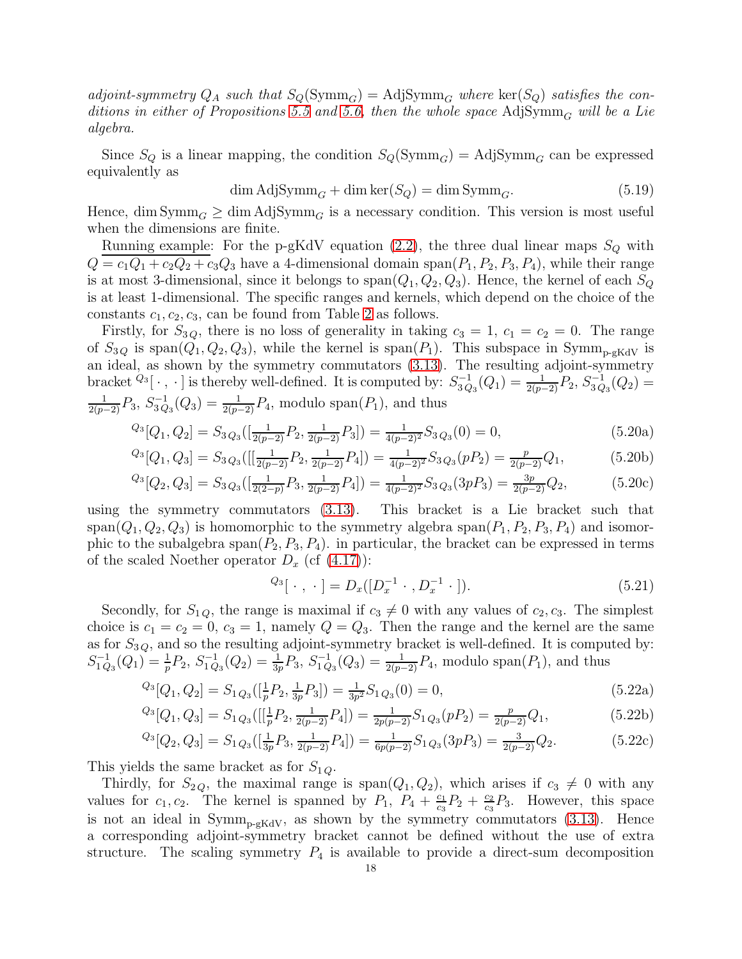adjoint-symmetry  $Q_A$  such that  $S_Q(\mathrm{Symm}_G) = \mathrm{Adj} \mathrm{Symm}_G$  where  $\mathrm{ker}(S_Q)$  satisfies the con-ditions in either of Propositions [5.5](#page-16-1) and [5.6,](#page-16-2) then the whole space AdjSymm<sub>G</sub> will be a Lie algebra.

Since  $S_Q$  is a linear mapping, the condition  $S_Q(\text{Symm}_G) = \text{Adj} \text{Symm}_G$  can be expressed equivalently as

$$
\dim \text{AdjSymm}_G + \dim \ker(S_Q) = \dim \text{Symm}_G. \tag{5.19}
$$

Hence, dim Symm<sub>G</sub>  $\geq$  dim AdjSymm<sub>G</sub> is a necessary condition. This version is most useful when the dimensions are finite.

Running example: For the p-gKdV equation  $(2.2)$ , the three dual linear maps  $S_Q$  with  $Q = c_1Q_1 + c_2Q_2 + c_3Q_3$  have a 4-dimensional domain span $(P_1, P_2, P_3, P_4)$ , while their range is at most 3-dimensional, since it belongs to  $\text{span}(Q_1, Q_2, Q_3)$ . Hence, the kernel of each  $S_Q$ is at least 1-dimensional. The specific ranges and kernels, which depend on the choice of the constants  $c_1, c_2, c_3$ , can be found from Table [2](#page-13-1) as follows.

Firstly, for  $S_{3Q}$ , there is no loss of generality in taking  $c_3 = 1$ ,  $c_1 = c_2 = 0$ . The range of  $S_{3Q}$  is span $(Q_1, Q_2, Q_3)$ , while the kernel is span $(P_1)$ . This subspace in Symm<sub>p-gKdV</sub> is an ideal, as shown by the symmetry commutators [\(3.13\)](#page-7-4). The resulting adjoint-symmetry bracket  $^{Q_3}[\cdot,\cdot]$  is thereby well-defined. It is computed by:  $S_{3Q}^{-1}$  $S_{3Q_3}^{-1}(Q_1) = \frac{1}{2(p-2)}P_2, S_{3Q}^{-1}$  $\frac{-1}{3Q_3}(Q_2) =$  $\frac{1}{2(p-2)}P_3$ ,  $S_{3Q}^{-1}$  $\chi_{3Q_3}^{-1}(Q_3) = \frac{1}{2(p-2)}P_4$ , modulo span $(P_1)$ , and thus

$$
{}^{Q_3}[Q_1, Q_2] = S_3 Q_3 \left( \left[ \frac{1}{2(p-2)} P_2, \frac{1}{2(p-2)} P_3 \right] \right) = \frac{1}{4(p-2)^2} S_3 Q_3(0) = 0,
$$
\n
$$
{}^{Q_3}[Q_1, Q_2] = S_3 Q_3 \left( \left[ \frac{1}{2(p-2)} P_2, \frac{1}{2(p-2)} P_3 \right] \right) = \frac{1}{4(p-2)^2} S_3 Q_3(0) = 0,
$$
\n
$$
{}^{Q_3}[Q_1, Q_2] = S_3 Q_3 \left( \left[ \frac{1}{2(p-2)} P_2, \frac{1}{2(p-2)} P_3 \right] \right) = \frac{1}{4(p-2)^2} S_3 Q_3(0) = 0,
$$
\n
$$
{}^{Q_3}[Q_1, Q_2] = S_3 Q_3 \left( \left[ \frac{1}{2(p-2)} P_2, \frac{1}{2(p-2)} P_3 \right] \right) = \frac{1}{4(p-2)^2} S_3 Q_3(0) = 0,
$$
\n
$$
{}^{Q_3}[Q_1, Q_2] = S_3 Q_3 \left( \left[ \frac{1}{2(p-2)} P_2, \frac{1}{2(p-2)} P_3 \right] \right) = \frac{1}{4(p-2)^2} S_3 Q_3(0) = 0,
$$
\n
$$
{}^{Q_3}[Q_2, Q_3] = S_3 Q_3 \left( \left[ \frac{1}{2(p-2)} P_2, \frac{1}{2(p-2)} P_3 \right] \right) = \frac{1}{4(p-2)^2} S_3 Q_3(0) = 0,
$$
\n
$$
{}^{Q_3}[Q_3, Q_3] = S_3 Q_3 \left( \left[ \frac{1}{2(p-2)} P_2, \frac{1}{2(p-2)} P_3 \right] \right) = \frac{1}{4(p-2)^2} S_3 Q_3(0) = 0,
$$
\n
$$
{}^{Q_3}[Q_3, Q_3] = S_3 Q_3 \left( \left[ \frac{1}{2(p-2)} P_2, \frac{1}{2(p-2)} P_3 \right] \right) = \frac{1}{4(p-2)^2} S_3 Q_3(0) = 0.
$$

$$
{}^{Q_3}[Q_1, Q_3] = S_3 Q_3 \left( \left[ \frac{1}{2(p-2)} P_2, \frac{1}{2(p-2)} P_4 \right] \right) = \frac{1}{4(p-2)^2} S_3 Q_3(pP_2) = \frac{p}{2(p-2)} Q_1,\tag{5.20b}
$$

$$
^{Q_3}[Q_2, Q_3] = S_3{}_{Q_3}([\frac{1}{2(2-p)}P_3, \frac{1}{2(p-2)}P_4]) = \frac{1}{4(p-2)^2} S_3{}_{Q_3}(3pP_3) = \frac{3p}{2(p-2)}Q_2,\tag{5.20c}
$$

using the symmetry commutators [\(3.13\)](#page-7-4). This bracket is a Lie bracket such that span( $Q_1, Q_2, Q_3$ ) is homomorphic to the symmetry algebra span( $P_1, P_2, P_3, P_4$ ) and isomorphic to the subalgebra span $(P_2, P_3, P_4)$ . in particular, the bracket can be expressed in terms of the scaled Noether operator  $D_x$  (cf  $(4.17)$ ):

$$
^{Q_3}[\cdot,\cdot] = D_x([D_x^{-1}\cdot,D_x^{-1}\cdot]). \tag{5.21}
$$

Secondly, for  $S_{1,Q}$ , the range is maximal if  $c_3 \neq 0$  with any values of  $c_2, c_3$ . The simplest choice is  $c_1 = c_2 = 0$ ,  $c_3 = 1$ , namely  $Q = Q_3$ . Then the range and the kernel are the same as for  $S_{3Q}$ , and so the resulting adjoint-symmetry bracket is well-defined. It is computed by:  $S^{-1}_{1O}$  $_{1 Q_3}^{-1}(Q_1) = \frac{1}{p} P_2, S_{1 Q}^{-1}$  $_{1 Q_3}(Q_2) = \frac{1}{3p} P_3, S_{1 Q}^{-1}$  $\chi_{1 Q_3}^{-1}(Q_3) = \frac{1}{2(p-2)} P_4$ , modulo span $(P_1)$ , and thus

$$
^{Q_3}[Q_1, Q_2] = S_{1Q_3}([\frac{1}{p}P_2, \frac{1}{3p}P_3]) = \frac{1}{3p^2} S_{1Q_3}(0) = 0,
$$
\n(5.22a)

$$
^{Q_3}[Q_1, Q_3] = S_{1Q_3}([[\frac{1}{p}P_2, \frac{1}{2(p-2)}P_4]) = \frac{1}{2p(p-2)}S_{1Q_3}(pP_2) = \frac{p}{2(p-2)}Q_1,
$$
\n
$$
(5.22b)
$$

$$
{}^{Q_3}[Q_2, Q_3] = S_1{}_{Q_3}([\frac{1}{3p}P_3, \frac{1}{2(p-2)}P_4]) = \frac{1}{6p(p-2)}S_1{}_{Q_3}(3pP_3) = \frac{3}{2(p-2)}Q_2.
$$
\n
$$
(5.22c)
$$

This yields the same bracket as for  $S_{1Q}$ .

Thirdly, for  $S_{2Q}$ , the maximal range is span $(Q_1, Q_2)$ , which arises if  $c_3 \neq 0$  with any values for  $c_1, c_2$ . The kernel is spanned by  $P_1, P_4 + \frac{c_1}{c_2}$  $rac{c_1}{c_3}P_2 + \frac{c_2}{c_3}$  $\frac{c_2}{c_3}P_3$ . However, this space is not an ideal in  $Symm_{p-gKdV}$ , as shown by the symmetry commutators  $(3.13)$ . Hence a corresponding adjoint-symmetry bracket cannot be defined without the use of extra structure. The scaling symmetry  $P_4$  is available to provide a direct-sum decomposition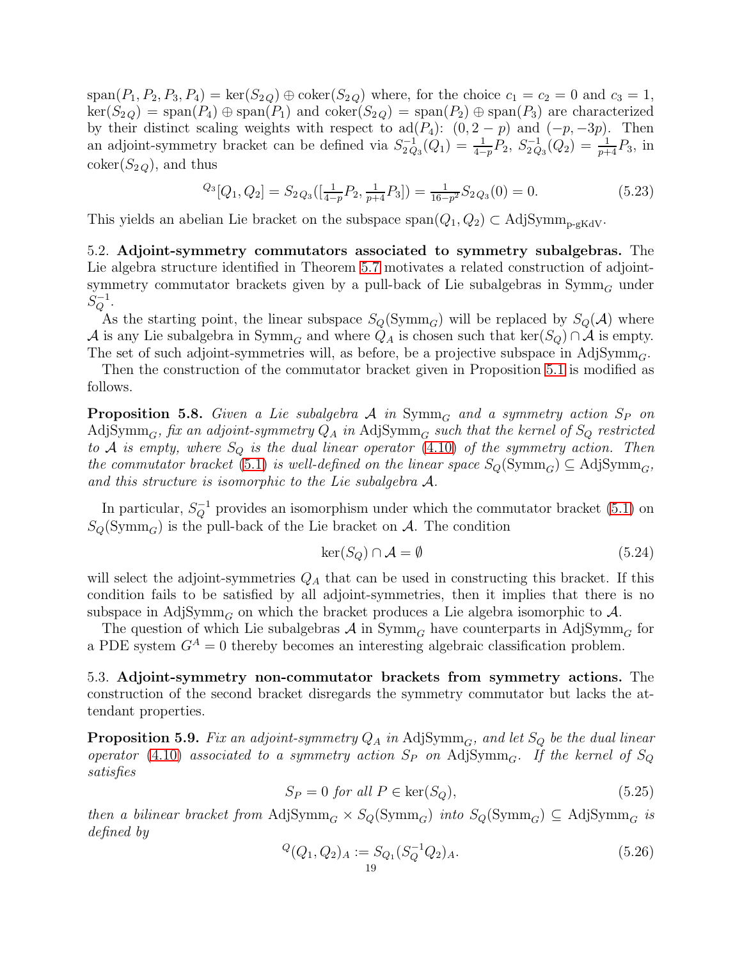$span(P_1, P_2, P_3, P_4) = \ker(S_{2Q}) \oplus \text{coker}(S_{2Q})$  where, for the choice  $c_1 = c_2 = 0$  and  $c_3 = 1$ ,  $\ker(S_{2Q}) = \text{span}(P_4) \oplus \text{span}(P_1)$  and  $\operatorname{coker}(S_{2Q}) = \text{span}(P_2) \oplus \text{span}(P_3)$  are characterized by their distinct scaling weights with respect to ad( $P_4$ ):  $(0, 2 - p)$  and  $(-p, -3p)$ . Then an adjoint-symmetry bracket can be defined via  $S_{2Q}^{-1}$  $S^{-1}_{2Q_3}(Q_1) = \frac{1}{4-p}P_2, S^{-1}_{2Q}$  $\frac{1}{2 Q_3}(Q_2) = \frac{1}{p+4}P_3$ , in  $\operatorname{coker}(S_{2Q})$ , and thus

$$
Q_3[Q_1, Q_2] = S_{2Q_3}([\frac{1}{4-p}P_2, \frac{1}{p+4}P_3]) = \frac{1}{16-p^2} S_{2Q_3}(0) = 0.
$$
 (5.23)

This yields an abelian Lie bracket on the subspace  $\text{span}(Q_1, Q_2) \subset \text{AdjSymm}_{p\text{-gKdV}}$ .

5.2. Adjoint-symmetry commutators associated to symmetry subalgebras. The Lie algebra structure identified in Theorem [5.7](#page-16-3) motivates a related construction of adjointsymmetry commutator brackets given by a pull-back of Lie subalgebras in  $\text{Symm}_G$  under  $S_Q^{-1}.$ 

As the starting point, the linear subspace  $S_Q(\mathrm{Symm}_G)$  will be replaced by  $S_Q(\mathcal{A})$  where A is any Lie subalgebra in  $\text{Symm}_G$  and where  $Q_A$  is chosen such that  $\text{ker}(S_Q) \cap A$  is empty. The set of such adjoint-symmetries will, as before, be a projective subspace in AdjSymm<sub>G</sub>.

Then the construction of the commutator bracket given in Proposition [5.1](#page-14-5) is modified as follows.

**Proposition 5.8.** Given a Lie subalgebra A in  $Symm<sub>G</sub>$  and a symmetry action  $S<sub>P</sub>$  on AdjSymm<sub>G</sub>, fix an adjoint-symmetry  $Q_A$  in AdjSymm<sub>G</sub> such that the kernel of  $S_Q$  restricted to A is empty, where  $S_Q$  is the dual linear operator [\(4.10\)](#page-11-0) of the symmetry action. Then the commutator bracket [\(5.1\)](#page-14-0) is well-defined on the linear space  $S_Q(\mathrm{Symm}_G) \subseteq \mathrm{Adj} \mathrm{Symm}_G$ , and this structure is isomorphic to the Lie subalgebra A.

In particular,  $S_Q^{-1}$  provides an isomorphism under which the commutator bracket [\(5.1\)](#page-14-0) on  $S_Q(\mathrm{Symm}_G)$  is the pull-back of the Lie bracket on A. The condition

$$
\ker(S_Q) \cap \mathcal{A} = \emptyset \tag{5.24}
$$

will select the adjoint-symmetries  $Q_A$  that can be used in constructing this bracket. If this condition fails to be satisfied by all adjoint-symmetries, then it implies that there is no subspace in Adj $\mathrm{Symm}_G$  on which the bracket produces a Lie algebra isomorphic to A.

The question of which Lie subalgebras  $\mathcal A$  in  $\mathrm{Symm}_G$  have counterparts in AdjSymm<sub>G</sub> for a PDE system  $G^A = 0$  thereby becomes an interesting algebraic classification problem.

5.3. Adjoint-symmetry non-commutator brackets from symmetry actions. The construction of the second bracket disregards the symmetry commutator but lacks the attendant properties.

**Proposition 5.9.** Fix an adjoint-symmetry  $Q_A$  in AdjSymm<sub>G</sub>, and let  $S_Q$  be the dual linear operator [\(4.10\)](#page-11-0) associated to a symmetry action  $S_P$  on AdjSymm<sub>G</sub>. If the kernel of  $S_Q$ satisfies

<span id="page-18-1"></span>
$$
S_P = 0 \text{ for all } P \in \text{ker}(S_Q),\tag{5.25}
$$

then a bilinear bracket from AdjSymm<sub>G</sub> ×  $S_Q$ (Symm<sub>G</sub>) into  $S_Q$ (Symm<sub>G</sub>)  $\subseteq$  AdjSymm<sub>G</sub> is defined by

<span id="page-18-0"></span>
$$
{}^{Q}(Q_1, Q_2)_{A} := S_{Q_1}(S_Q^{-1}Q_2)_{A}.
$$
\n(5.26)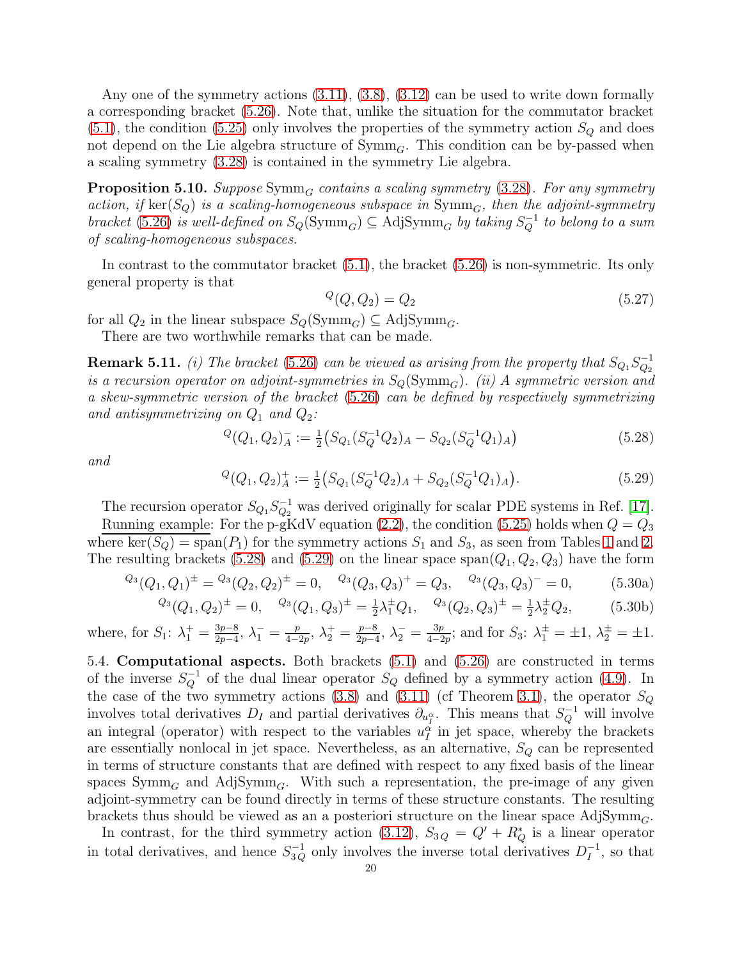Any one of the symmetry actions  $(3.11), (3.8), (3.12)$  $(3.11), (3.8), (3.12)$  $(3.11), (3.8), (3.12)$  $(3.11), (3.8), (3.12)$  can be used to write down formally a corresponding bracket [\(5.26\)](#page-18-0). Note that, unlike the situation for the commutator bracket  $(5.1)$ , the condition  $(5.25)$  only involves the properties of the symmetry action  $S_Q$  and does not depend on the Lie algebra structure of  $\mathrm{Symm}_G$ . This condition can be by-passed when a scaling symmetry [\(3.28\)](#page-10-6) is contained in the symmetry Lie algebra.

**Proposition 5.10.** Suppose  $Symm_G$  contains a scaling symmetry [\(3.28\)](#page-10-6). For any symmetry action, if ker( $S_Q$ ) is a scaling-homogeneous subspace in  $\text{Symm}_G$ , then the adjoint-symmetry bracket [\(5.26\)](#page-18-0) is well-defined on  $S_Q(\text{Symm}_G) \subseteq \text{AdjSymm}_G$  by taking  $S_Q^{-1}$  to belong to a sum of scaling-homogeneous subspaces.

In contrast to the commutator bracket [\(5.1\)](#page-14-0), the bracket [\(5.26\)](#page-18-0) is non-symmetric. Its only general property is that

$$
^Q(Q,Q_2) = Q_2 \tag{5.27}
$$

for all  $Q_2$  in the linear subspace  $S_Q(\mathrm{Symm}_G) \subseteq \mathrm{Adj} \mathrm{Symm}_G$ .

There are two worthwhile remarks that can be made.

**Remark 5.11.** (i) The bracket [\(5.26\)](#page-18-0) can be viewed as arising from the property that  $S_{Q_1}S_{Q_2}^{-1}$  $\scriptstyle{Q_2}$ is a recursion operator on adjoint-symmetries in  $S_Q(\mathrm{Symm}_G)$ . (ii) A symmetric version and a skew-symmetric version of the bracket [\(5.26\)](#page-18-0) can be defined by respectively symmetrizing and antisymmetrizing on  $Q_1$  and  $Q_2$ :

<span id="page-19-0"></span>
$$
{}^{Q}(Q_1, Q_2)^{-}_{A} := \frac{1}{2} \left( S_{Q_1} (S_Q^{-1} Q_2)_A - S_{Q_2} (S_Q^{-1} Q_1)_A \right) \tag{5.28}
$$

and

<span id="page-19-1"></span>
$$
{}^{Q}(Q_1, Q_2)^+_{A} := \frac{1}{2} \left( S_{Q_1} (S_Q^{-1} Q_2)_A + S_{Q_2} (S_Q^{-1} Q_1)_A \right). \tag{5.29}
$$

The recursion operator  $S_{Q_1}S_{Q_2}^{-1}$  $\overline{Q}_2^{-1}$  was derived originally for scalar PDE systems in Ref. [\[17\]](#page-26-16). Running example: For the p-gKdV equation [\(2.2\)](#page-3-4), the condition [\(5.25\)](#page-18-1) holds when  $Q = Q_3$ where ker( $S_Q$ ) = span( $P_1$ ) for the symmetry actions  $S_1$  and  $S_3$ , as seen from Tables [1](#page-8-1) and [2.](#page-13-1) The resulting brackets [\(5.28\)](#page-19-0) and [\(5.29\)](#page-19-1) on the linear space  $\text{span}(Q_1, Q_2, Q_3)$  have the form

$$
{}^{Q_3}(Q_1, Q_1)^{\pm} = {}^{Q_3}(Q_2, Q_2)^{\pm} = 0, \quad {}^{Q_3}(Q_3, Q_3)^{\pm} = Q_3, \quad {}^{Q_3}(Q_3, Q_3)^{\pm} = 0, \tag{5.30a}
$$
  

$$
{}^{Q_3}(Q_1, Q_2)^{\pm} = 0, \quad {}^{Q_3}(Q_1, Q_3)^{\pm} = \frac{1}{2}\lambda_1^{\pm}Q_1, \quad {}^{Q_3}(Q_2, Q_3)^{\pm} = \frac{1}{2}\lambda_2^{\pm}Q_2, \tag{5.30b}
$$

$$
Q_3(Q_1, Q_2)^{\pm} = 0, \quad Q_3(Q_1, Q_3)^{\pm} = \frac{1}{2}\lambda_1^{\pm}Q_1, \quad Q_3(Q_2, Q_3)^{\pm} = \frac{1}{2}\lambda_2^{\pm}Q_2, \tag{5.30b}
$$
  
where, for  $S_1$ :  $\lambda_1^+ = \frac{3p-8}{2p-4}, \lambda_1^- = \frac{p}{4-2p}, \lambda_2^+ = \frac{p-8}{2p-4}, \lambda_2^- = \frac{3p}{4-2p}$ ; and for  $S_3$ :  $\lambda_1^{\pm} = \pm 1, \lambda_2^{\pm} = \pm 1$ .

5.4. Computational aspects. Both brackets [\(5.1\)](#page-14-0) and [\(5.26\)](#page-18-0) are constructed in terms of the inverse  $S_Q^{-1}$  of the dual linear operator  $S_Q$  defined by a symmetry action [\(4.9\)](#page-11-1). In the case of the two symmetry actions [\(3.8\)](#page-6-5) and [\(3.11\)](#page-7-0) (cf Theorem [3.1\)](#page-7-3), the operator  $S_Q$ involves total derivatives  $D_I$  and partial derivatives  $\partial_{u_I^{\alpha}}$ . This means that  $S_Q^{-1}$  will involve an integral (operator) with respect to the variables  $u_I^{\alpha}$  in jet space, whereby the brackets are essentially nonlocal in jet space. Nevertheless, as an alternative,  $S_Q$  can be represented in terms of structure constants that are defined with respect to any fixed basis of the linear spaces  $\text{Symm}_G$  and Adj $\text{Symm}_G$ . With such a representation, the pre-image of any given adjoint-symmetry can be found directly in terms of these structure constants. The resulting brackets thus should be viewed as an a posteriori structure on the linear space  $\text{AdjSymm}_G$ .

In contrast, for the third symmetry action [\(3.12\)](#page-7-1),  $S_{3Q} = Q' + R^*_{Q}$  is a linear operator in total derivatives, and hence  $S_{3Q}^{-1}$  only involves the inverse total derivatives  $D_I^{-1}$  $I$ , so that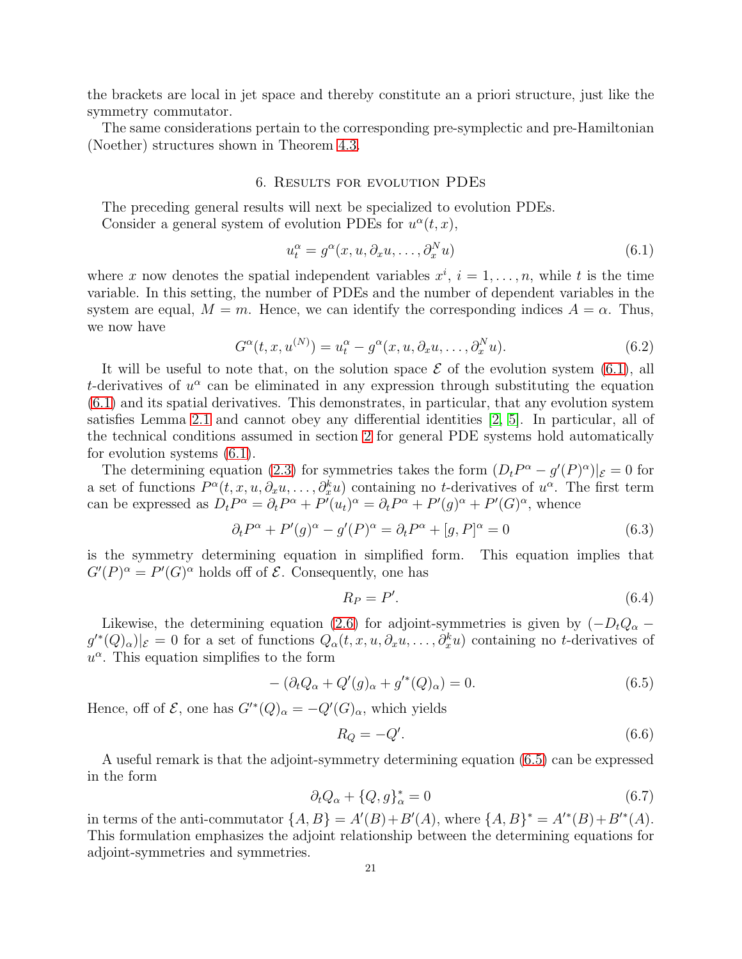the brackets are local in jet space and thereby constitute an a priori structure, just like the symmetry commutator.

<span id="page-20-0"></span>The same considerations pertain to the corresponding pre-symplectic and pre-Hamiltonian (Noether) structures shown in Theorem [4.3.](#page-12-5)

#### 6. Results for evolution PDEs

The preceding general results will next be specialized to evolution PDEs.

Consider a general system of evolution PDEs for  $u^{\alpha}(t, x)$ ,

<span id="page-20-1"></span>
$$
u_t^{\alpha} = g^{\alpha}(x, u, \partial_x u, \dots, \partial_x^N u)
$$
\n(6.1)

where x now denotes the spatial independent variables  $x^i$ ,  $i = 1, \ldots, n$ , while t is the time variable. In this setting, the number of PDEs and the number of dependent variables in the system are equal,  $M = m$ . Hence, we can identify the corresponding indices  $A = \alpha$ . Thus, we now have

$$
G^{\alpha}(t, x, u^{(N)}) = u_t^{\alpha} - g^{\alpha}(x, u, \partial_x u, \dots, \partial_x^N u). \tag{6.2}
$$

It will be useful to note that, on the solution space  $\mathcal E$  of the evolution system [\(6.1\)](#page-20-1), all t-derivatives of  $u^{\alpha}$  can be eliminated in any expression through substituting the equation [\(6.1\)](#page-20-1) and its spatial derivatives. This demonstrates, in particular, that any evolution system satisfies Lemma [2.1](#page-3-2) and cannot obey any differential identities [\[2,](#page-26-1) [5\]](#page-26-4). In particular, all of the technical conditions assumed in section [2](#page-3-0) for general PDE systems hold automatically for evolution systems [\(6.1\)](#page-20-1).

The determining equation [\(2.3\)](#page-3-3) for symmetries takes the form  $(D_t P^{\alpha} - g'(P)^{\alpha})|_{\mathcal{E}} = 0$  for a set of functions  $P^{\alpha}(t, x, u, \partial_x u, \dots, \partial_x^k u)$  containing no t-derivatives of  $u^{\alpha}$ . The first term can be expressed as  $D_t P^{\alpha} = \partial_t P^{\alpha} + P'(u_t)^{\alpha} = \partial_t P^{\alpha} + P'(g)^{\alpha} + P'(G)^{\alpha}$ , whence

$$
\partial_t P^{\alpha} + P'(g)^{\alpha} - g'(P)^{\alpha} = \partial_t P^{\alpha} + [g, P]^{\alpha} = 0
$$
\n(6.3)

is the symmetry determining equation in simplified form. This equation implies that  $G'(P)^{\alpha} = P'(G)^{\alpha}$  holds off of  $\mathcal{E}$ . Consequently, one has

<span id="page-20-3"></span>
$$
R_P = P'.\tag{6.4}
$$

Likewise, the determining equation [\(2.6\)](#page-4-2) for adjoint-symmetries is given by  $(-D_tQ_\alpha$  $g'^*(Q)_{\alpha})|_{\mathcal{E}} = 0$  for a set of functions  $Q_{\alpha}(t, x, u, \partial_x u, \dots, \partial_x^k u)$  containing no t-derivatives of  $u^{\alpha}$ . This equation simplifies to the form

<span id="page-20-2"></span>
$$
-(\partial_t Q_\alpha + Q'(g)_\alpha + g'^*(Q)_\alpha) = 0.
$$
\n(6.5)

Hence, off of  $\mathcal{E}$ , one has  $G'^*(Q)_{\alpha} = -Q'(G)_{\alpha}$ , which yields

<span id="page-20-4"></span>
$$
R_Q = -Q'.\tag{6.6}
$$

A useful remark is that the adjoint-symmetry determining equation [\(6.5\)](#page-20-2) can be expressed in the form

$$
\partial_t Q_\alpha + \{Q, g\}_\alpha^* = 0 \tag{6.7}
$$

in terms of the anti-commutator  $\{A, B\} = A'(B) + B'(A)$ , where  $\{A, B\}^* = A'^*(B) + B'^*(A)$ . This formulation emphasizes the adjoint relationship between the determining equations for adjoint-symmetries and symmetries.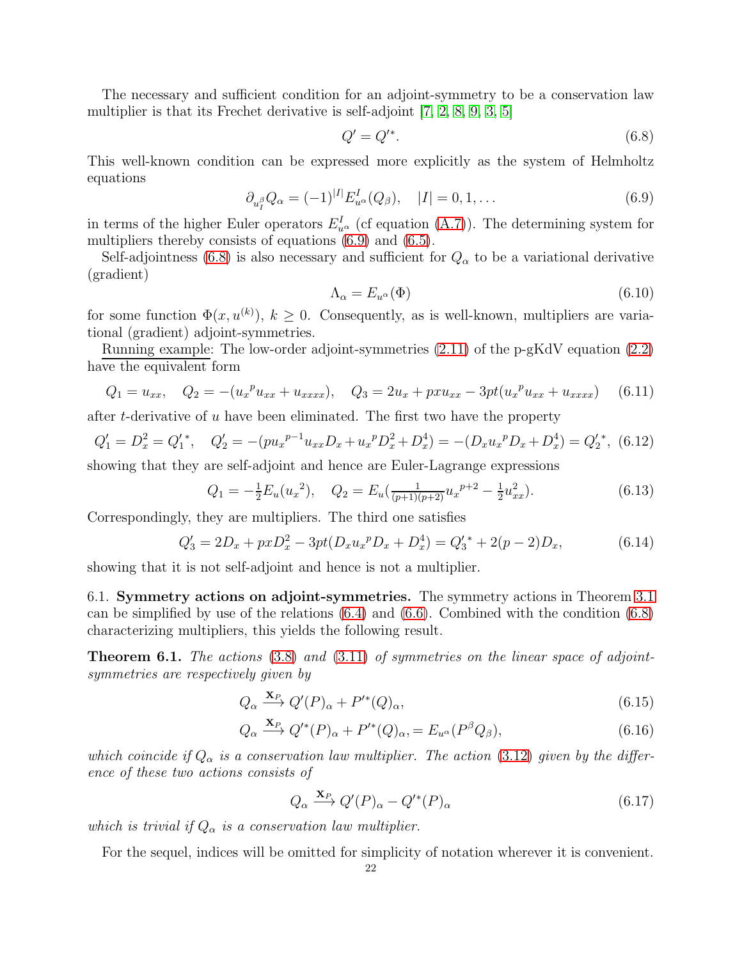The necessary and sufficient condition for an adjoint-symmetry to be a conservation law multiplier is that its Frechet derivative is self-adjoint [\[7,](#page-26-6) [2,](#page-26-1) [8,](#page-26-7) [9,](#page-26-8) [3,](#page-26-2) [5\]](#page-26-4)

<span id="page-21-1"></span>
$$
Q' = Q'^{*}.\tag{6.8}
$$

This well-known condition can be expressed more explicitly as the system of Helmholtz equations

<span id="page-21-0"></span>
$$
\partial_{u_I^{\beta}} Q_{\alpha} = (-1)^{|I|} E_{u^{\alpha}}^I(Q_{\beta}), \quad |I| = 0, 1, \dots \tag{6.9}
$$

in terms of the higher Euler operators  $E_{u^{\alpha}}^{I}$  (cf equation [\(A.7\)](#page-25-0)). The determining system for multipliers thereby consists of equations  $(6.9)$  and  $(6.5)$ .

Self-adjointness [\(6.8\)](#page-21-1) is also necessary and sufficient for  $Q_{\alpha}$  to be a variational derivative (gradient)

$$
\Lambda_{\alpha} = E_{u^{\alpha}}(\Phi) \tag{6.10}
$$

for some function  $\Phi(x, u^{(k)})$ ,  $k \geq 0$ . Consequently, as is well-known, multipliers are variational (gradient) adjoint-symmetries.

Running example: The low-order adjoint-symmetries [\(2.11\)](#page-5-1) of the p-gKdV equation [\(2.2\)](#page-3-4) have the equivalent form

$$
Q_1 = u_{xx}, \quad Q_2 = -(u_x^p u_{xx} + u_{xxxx}), \quad Q_3 = 2u_x + pxu_{xx} - 3pt(u_x^p u_{xx} + u_{xxxx}) \quad (6.11)
$$

after t-derivative of u have been eliminated. The first two have the property

$$
Q_1' = D_x^2 = Q_1'^*, \quad Q_2' = -(pu_x^{p-1}u_{xx}D_x + u_x^pD_x^2 + D_x^4) = -(D_xu_x^pD_x + D_x^4) = Q_2'^*,
$$
 (6.12)

showing that they are self-adjoint and hence are Euler-Lagrange expressions

$$
Q_1 = -\frac{1}{2}E_u(u_x^2), \quad Q_2 = E_u(\frac{1}{(p+1)(p+2)}u_x^{p+2} - \frac{1}{2}u_{xx}^2). \tag{6.13}
$$

Correspondingly, they are multipliers. The third one satisfies

<span id="page-21-4"></span>
$$
Q_3' = 2D_x + pxD_x^2 - 3pt(D_xu_x^pD_x + D_x^4) = Q_3' + 2(p-2)D_x,
$$
\n(6.14)

showing that it is not self-adjoint and hence is not a multiplier.

6.1. Symmetry actions on adjoint-symmetries. The symmetry actions in Theorem [3.1](#page-7-3) can be simplified by use of the relations [\(6.4\)](#page-20-3) and [\(6.6\)](#page-20-4). Combined with the condition [\(6.8\)](#page-21-1) characterizing multipliers, this yields the following result.

<span id="page-21-2"></span>**Theorem 6.1.** The actions  $(3.8)$  and  $(3.11)$  of symmetries on the linear space of adjointsymmetries are respectively given by

$$
Q_{\alpha} \xrightarrow{\mathbf{X}_{P}} Q'(P)_{\alpha} + P'^{*}(Q)_{\alpha}, \qquad (6.15)
$$

$$
Q_{\alpha} \xrightarrow{\mathbf{X}_{P}} Q^{\prime*}(P)_{\alpha} + P^{\prime*}(Q)_{\alpha} = E_{u^{\alpha}}(P^{\beta}Q_{\beta}), \qquad (6.16)
$$

which coincide if  $Q_{\alpha}$  is a conservation law multiplier. The action [\(3.12\)](#page-7-1) given by the difference of these two actions consists of

<span id="page-21-3"></span>
$$
Q_{\alpha} \xrightarrow{\mathbf{X}_P} Q'(P)_{\alpha} - Q'^{*}(P)_{\alpha} \tag{6.17}
$$

which is trivial if  $Q_{\alpha}$  is a conservation law multiplier.

For the sequel, indices will be omitted for simplicity of notation wherever it is convenient.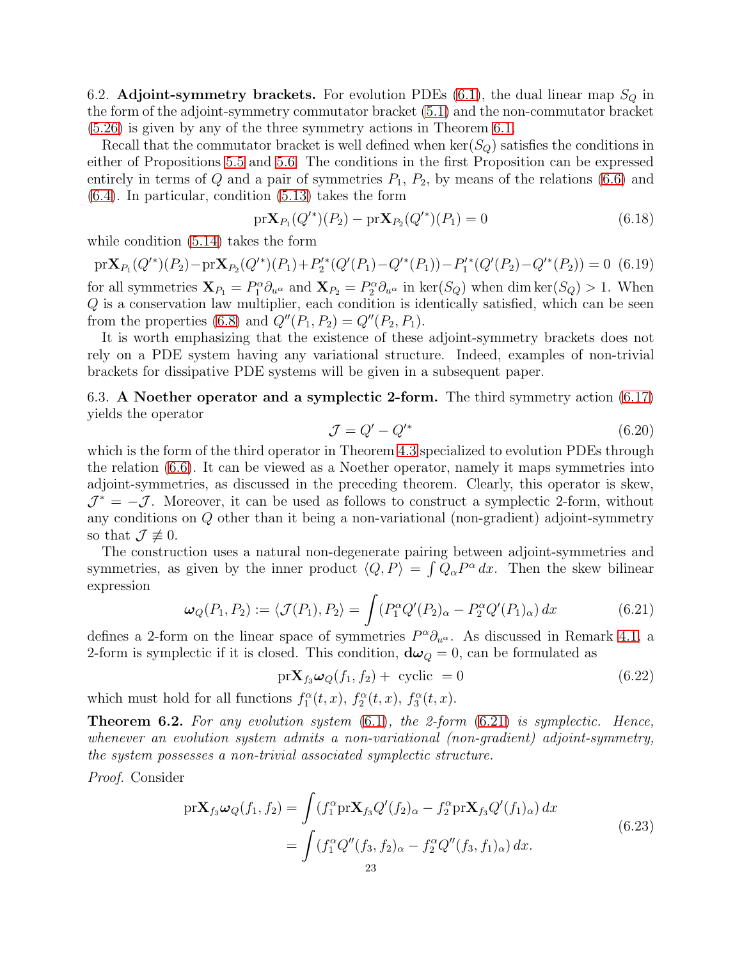6.2. Adjoint-symmetry brackets. For evolution PDEs  $(6.1)$ , the dual linear map  $S_Q$  in the form of the adjoint-symmetry commutator bracket [\(5.1\)](#page-14-0) and the non-commutator bracket [\(5.26\)](#page-18-0) is given by any of the three symmetry actions in Theorem [6.1.](#page-21-2)

Recall that the commutator bracket is well defined when  $\ker(S_Q)$  satisfies the conditions in either of Propositions [5.5](#page-16-1) and [5.6.](#page-16-2) The conditions in the first Proposition can be expressed entirely in terms of Q and a pair of symmetries  $P_1, P_2$ , by means of the relations [\(6.6\)](#page-20-4) and [\(6.4\)](#page-20-3). In particular, condition [\(5.13\)](#page-15-1) takes the form

$$
\text{pr}\mathbf{X}_{P_1}(Q'^*)(P_2) - \text{pr}\mathbf{X}_{P_2}(Q'^*)(P_1) = 0
$$
\n(6.18)

while condition [\(5.14\)](#page-15-0) takes the form

$$
\text{pr}\mathbf{X}_{P_1}(Q'^*)(P_2) - \text{pr}\mathbf{X}_{P_2}(Q'^*)(P_1) + P_2'^*(Q'(P_1) - Q'^*(P_1)) - P_1'^*(Q'(P_2) - Q'^*(P_2)) = 0 \tag{6.19}
$$

for all symmetries  $\mathbf{X}_{P_1} = P_1^{\alpha} \partial_{u^{\alpha}}$  and  $\mathbf{X}_{P_2} = P_2^{\alpha} \partial_{u^{\alpha}}$  in  $\text{ker}(S_Q)$  when dim  $\text{ker}(S_Q) > 1$ . When Q is a conservation law multiplier, each condition is identically satisfied, which can be seen from the properties [\(6.8\)](#page-21-1) and  $Q''(P_1, P_2) = Q''(P_2, P_1)$ .

It is worth emphasizing that the existence of these adjoint-symmetry brackets does not rely on a PDE system having any variational structure. Indeed, examples of non-trivial brackets for dissipative PDE systems will be given in a subsequent paper.

6.3. A Noether operator and a symplectic 2-form. The third symmetry action [\(6.17\)](#page-21-3) yields the operator

<span id="page-22-2"></span>
$$
\mathcal{J} = Q' - Q'^* \tag{6.20}
$$

which is the form of the third operator in Theorem [4.3](#page-12-5) specialized to evolution PDEs through the relation [\(6.6\)](#page-20-4). It can be viewed as a Noether operator, namely it maps symmetries into adjoint-symmetries, as discussed in the preceding theorem. Clearly, this operator is skew,  $\mathcal{J}^* = -\mathcal{J}$ . Moreover, it can be used as follows to construct a symplectic 2-form, without any conditions on Q other than it being a non-variational (non-gradient) adjoint-symmetry so that  $\mathcal{J} \not\equiv 0$ .

The construction uses a natural non-degenerate pairing between adjoint-symmetries and symmetries, as given by the inner product  $\langle Q, P \rangle = \int Q_\alpha P^\alpha dx$ . Then the skew bilinear expression

<span id="page-22-0"></span>
$$
\omega_Q(P_1, P_2) := \langle \mathcal{J}(P_1), P_2 \rangle = \int (P_1^{\alpha} Q'(P_2)_{\alpha} - P_2^{\alpha} Q'(P_1)_{\alpha}) dx \tag{6.21}
$$

defines a 2-form on the linear space of symmetries  $P^{\alpha}\partial_{u^{\alpha}}$ . As discussed in Remark [4.1,](#page-11-2) a 2-form is symplectic if it is closed. This condition,  $d\omega_Q = 0$ , can be formulated as

<span id="page-22-1"></span>
$$
\text{pr}\mathbf{X}_{f_3}\boldsymbol{\omega}_Q(f_1, f_2) + \text{ cyclic } = 0 \tag{6.22}
$$

which must hold for all functions  $f_1^{\alpha}(t, x)$ ,  $f_2^{\alpha}(t, x)$ ,  $f_3^{\alpha}(t, x)$ .

<span id="page-22-3"></span>**Theorem 6.2.** For any evolution system  $(6.1)$ , the 2-form  $(6.21)$  is symplectic. Hence, whenever an evolution system admits a non-variational (non-gradient) adjoint-symmetry, the system possesses a non-trivial associated symplectic structure.

Proof. Consider

$$
\begin{split} \text{pr}\mathbf{X}_{f_3}\omega_Q(f_1, f_2) &= \int (f_1^{\alpha} \text{pr}\mathbf{X}_{f_3} Q'(f_2)_{\alpha} - f_2^{\alpha} \text{pr}\mathbf{X}_{f_3} Q'(f_1)_{\alpha}) \, dx \\ &= \int (f_1^{\alpha} Q''(f_3, f_2)_{\alpha} - f_2^{\alpha} Q''(f_3, f_1)_{\alpha}) \, dx. \end{split} \tag{6.23}
$$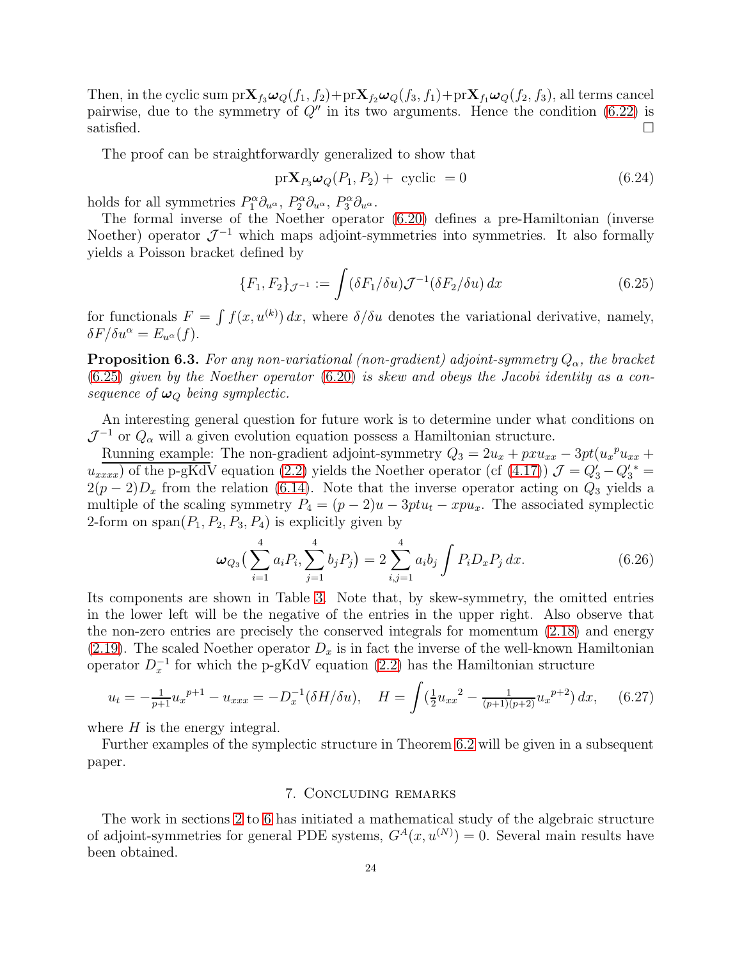Then, in the cyclic sum  $pr\mathbf{X}_{f_3}\omega_Q(f_1, f_2)+pr\mathbf{X}_{f_2}\omega_Q(f_3, f_1)+pr\mathbf{X}_{f_1}\omega_Q(f_2, f_3)$ , all terms cancel pairwise, due to the symmetry of  $Q''$  in its two arguments. Hence the condition [\(6.22\)](#page-22-1) is satisfied.

The proof can be straightforwardly generalized to show that

$$
\text{pr}\mathbf{X}_{P_3}\boldsymbol{\omega}_Q(P_1, P_2) + \text{ cyclic } = 0 \tag{6.24}
$$

holds for all symmetries  $P_1^{\alpha} \partial_{u^{\alpha}}, P_2^{\alpha} \partial_{u^{\alpha}}, P_3^{\alpha} \partial_{u^{\alpha}}.$ 

The formal inverse of the Noether operator [\(6.20\)](#page-22-2) defines a pre-Hamiltonian (inverse Noether) operator  $\mathcal{J}^{-1}$  which maps adjoint-symmetries into symmetries. It also formally yields a Poisson bracket defined by

<span id="page-23-1"></span>
$$
\{F_1, F_2\}_{\mathcal{J}^{-1}} := \int (\delta F_1 / \delta u) \mathcal{J}^{-1} (\delta F_2 / \delta u) \, dx \tag{6.25}
$$

for functionals  $F = \int f(x, u^{(k)}) dx$ , where  $\delta/\delta u$  denotes the variational derivative, namely,  $\delta F/\delta u^{\alpha} = E_{u^{\alpha}}(f).$ 

**Proposition 6.3.** For any non-variational (non-gradient) adjoint-symmetry  $Q_{\alpha}$ , the bracket [\(6.25\)](#page-23-1) given by the Noether operator [\(6.20\)](#page-22-2) is skew and obeys the Jacobi identity as a consequence of  $\omega_Q$  being symplectic.

An interesting general question for future work is to determine under what conditions on  $\mathcal{J}^{-1}$  or  $Q_{\alpha}$  will a given evolution equation possess a Hamiltonian structure.

Running example: The non-gradient adjoint-symmetry  $Q_3 = 2u_x + pxu_{xx} - 3pt(u_x^{\ \ p}u_{xx} +$  $u_{xxxx}$ ) of the p-gKdV equation [\(2.2\)](#page-3-4) yields the Noether operator (cf [\(4.17\)](#page-13-2))  $\mathcal{J} = Q'_3 - Q'_3^* =$  $2(p-2)D_x$  from the relation [\(6.14\)](#page-21-4). Note that the inverse operator acting on  $Q_3$  yields a multiple of the scaling symmetry  $P_4 = (p-2)u - 3ptu_t - xpu_x$ . The associated symplectic 2-form on  $\text{span}(P_1, P_2, P_3, P_4)$  is explicitly given by

$$
\omega_{Q_3}\left(\sum_{i=1}^4 a_i P_i, \sum_{j=1}^4 b_j P_j\right) = 2 \sum_{i,j=1}^4 a_i b_j \int P_i D_x P_j dx.
$$
 (6.26)

Its components are shown in Table [3.](#page-24-0) Note that, by skew-symmetry, the omitted entries in the lower left will be the negative of the entries in the upper right. Also observe that the non-zero entries are precisely the conserved integrals for momentum [\(2.18\)](#page-5-3) and energy [\(2.19\)](#page-6-6). The scaled Noether operator  $D_x$  is in fact the inverse of the well-known Hamiltonian operator  $D_x^{-1}$  for which the p-gKdV equation [\(2.2\)](#page-3-4) has the Hamiltonian structure

$$
u_t = -\frac{1}{p+1} u_x^{p+1} - u_{xxx} = -D_x^{-1} (\delta H / \delta u), \quad H = \int (\frac{1}{2} u_{xx}^2 - \frac{1}{(p+1)(p+2)} u_x^{p+2}) dx, \quad (6.27)
$$

where  $H$  is the energy integral.

<span id="page-23-0"></span>Further examples of the symplectic structure in Theorem [6.2](#page-22-3) will be given in a subsequent paper.

#### 7. Concluding remarks

The work in sections [2](#page-3-0) to [6](#page-20-0) has initiated a mathematical study of the algebraic structure of adjoint-symmetries for general PDE systems,  $G^{A}(x, u^{(N)}) = 0$ . Several main results have been obtained.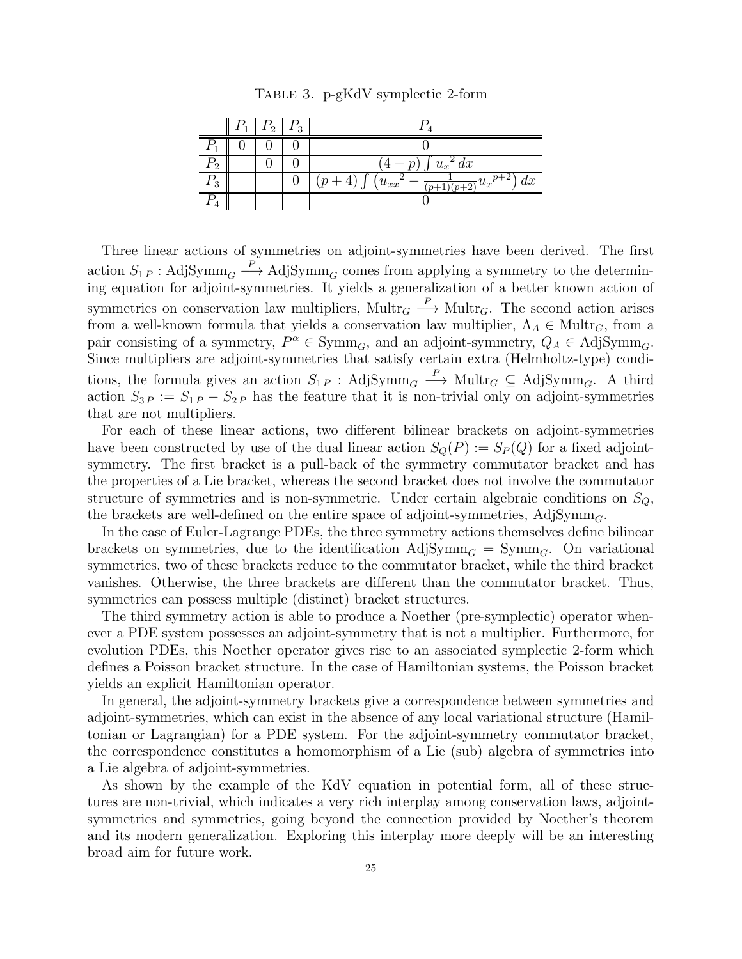Table 3. p-gKdV symplectic 2-form

<span id="page-24-0"></span>

|                     | $P_1$ $P_2$ $P_3$ |  |                                                       |
|---------------------|-------------------|--|-------------------------------------------------------|
|                     |                   |  |                                                       |
| $\mathit{\Gamma}_2$ |                   |  | $\left(\frac{4-p}{2}\right) \int u_x^2 dx$            |
| $\mathcal{F}_3$     |                   |  | $-\frac{1}{(p+1)(p+2)}u_x^p+2\right)dx$<br>$(u_{xx})$ |
|                     |                   |  |                                                       |

Three linear actions of symmetries on adjoint-symmetries have been derived. The first action  $S_{1P}$ : AdjSymm<sub>G</sub>  $\longrightarrow$  AdjSymm<sub>G</sub> comes from applying a symmetry to the determining equation for adjoint-symmetries. It yields a generalization of a better known action of symmetries on conservation law multipliers,  $\text{Mult}_{G} \stackrel{P}{\longrightarrow} \text{Mult}_{G}$ . The second action arises from a well-known formula that yields a conservation law multiplier,  $\Lambda_A \in \text{Mult}_{G}$ , from a pair consisting of a symmetry,  $P^{\alpha} \in \text{Symm}_G$ , and an adjoint-symmetry,  $Q_A \in \text{AdjSymm}_G$ . Since multipliers are adjoint-symmetries that satisfy certain extra (Helmholtz-type) conditions, the formula gives an action  $S_{1P}$ : AdjSymm<sub>G</sub>  $\stackrel{P}{\longrightarrow}$  Multr<sub>G</sub>  $\subseteq$  AdjSymm<sub>G</sub>. A third action  $S_{3P} := S_{1P} - S_{2P}$  has the feature that it is non-trivial only on adjoint-symmetries that are not multipliers.

For each of these linear actions, two different bilinear brackets on adjoint-symmetries have been constructed by use of the dual linear action  $S_Q(P) := S_P(Q)$  for a fixed adjointsymmetry. The first bracket is a pull-back of the symmetry commutator bracket and has the properties of a Lie bracket, whereas the second bracket does not involve the commutator structure of symmetries and is non-symmetric. Under certain algebraic conditions on  $S_Q$ , the brackets are well-defined on the entire space of adjoint-symmetries,  $\text{AdjSymm}_G$ .

In the case of Euler-Lagrange PDEs, the three symmetry actions themselves define bilinear brackets on symmetries, due to the identification  $\text{AdjSymm}_G = \text{Symm}_G$ . On variational symmetries, two of these brackets reduce to the commutator bracket, while the third bracket vanishes. Otherwise, the three brackets are different than the commutator bracket. Thus, symmetries can possess multiple (distinct) bracket structures.

The third symmetry action is able to produce a Noether (pre-symplectic) operator whenever a PDE system possesses an adjoint-symmetry that is not a multiplier. Furthermore, for evolution PDEs, this Noether operator gives rise to an associated symplectic 2-form which defines a Poisson bracket structure. In the case of Hamiltonian systems, the Poisson bracket yields an explicit Hamiltonian operator.

In general, the adjoint-symmetry brackets give a correspondence between symmetries and adjoint-symmetries, which can exist in the absence of any local variational structure (Hamiltonian or Lagrangian) for a PDE system. For the adjoint-symmetry commutator bracket, the correspondence constitutes a homomorphism of a Lie (sub) algebra of symmetries into a Lie algebra of adjoint-symmetries.

As shown by the example of the KdV equation in potential form, all of these structures are non-trivial, which indicates a very rich interplay among conservation laws, adjointsymmetries and symmetries, going beyond the connection provided by Noether's theorem and its modern generalization. Exploring this interplay more deeply will be an interesting broad aim for future work.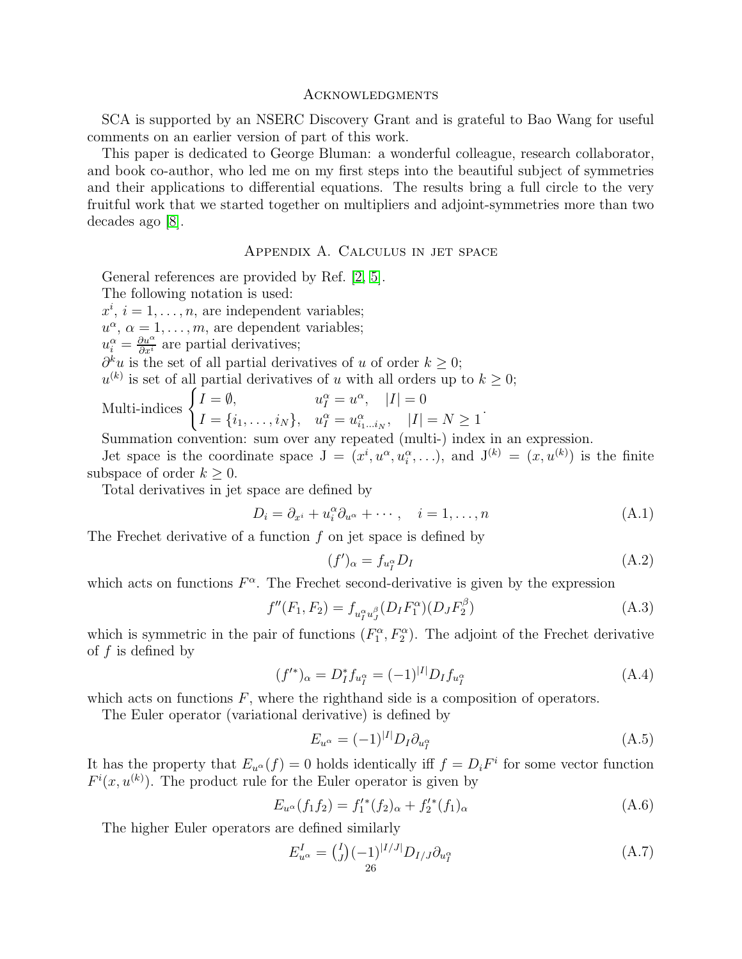#### **ACKNOWLEDGMENTS**

SCA is supported by an NSERC Discovery Grant and is grateful to Bao Wang for useful comments on an earlier version of part of this work.

This paper is dedicated to George Bluman: a wonderful colleague, research collaborator, and book co-author, who led me on my first steps into the beautiful subject of symmetries and their applications to differential equations. The results bring a full circle to the very fruitful work that we started together on multipliers and adjoint-symmetries more than two decades ago [\[8\]](#page-26-7).

### Appendix A. Calculus in jet space

General references are provided by Ref. [\[2,](#page-26-1) [5\]](#page-26-4).

The following notation is used:

 $x^i$ ,  $i = 1, \ldots, n$ , are independent variables;

 $u^{\alpha}, \alpha = 1, \ldots, m$ , are dependent variables;

 $u_i^{\alpha} = \frac{\partial u^{\alpha}}{\partial x^i}$  are partial derivatives;

 $\partial^k u$  is the set of all partial derivatives of u of order  $k \geq 0$ ;

 $u^{(k)}$  is set of all partial derivatives of u with all orders up to  $k \geq 0$ ;

Multi-indices 
$$
\begin{cases} I = \emptyset, & u_I^{\alpha} = u^{\alpha}, \quad |I| = 0 \\ I = \{i_1, \dots, i_N\}, & u_I^{\alpha} = u_{i_1 \dots i_N}^{\alpha}, \quad |I| = N \ge 1 \end{cases}
$$

Summation convention: sum over any repeated (multi-) index in an expression.

Jet space is the coordinate space  $J = (x^i, u^{\alpha}, u_i^{\alpha}, \ldots)$ , and  $J^{(k)} = (x, u^{(k)})$  is the finite subspace of order  $k \geq 0$ .

Total derivatives in jet space are defined by

$$
D_i = \partial_{x^i} + u_i^{\alpha} \partial_{u^{\alpha}} + \cdots, \quad i = 1, \dots, n
$$
\n(A.1)

The Frechet derivative of a function  $f$  on jet space is defined by

$$
(f')_{\alpha} = f_{u_I^{\alpha}} D_I \tag{A.2}
$$

which acts on functions  $F^{\alpha}$ . The Frechet second-derivative is given by the expression

$$
f''(F_1, F_2) = f_{u_I^{\alpha} u_J^{\beta}}(D_I F_1^{\alpha})(D_J F_2^{\beta})
$$
\n(A.3)

which is symmetric in the pair of functions  $(F_1^{\alpha}, F_2^{\alpha})$ . The adjoint of the Frechet derivative of  $f$  is defined by

$$
(f'^*)_{\alpha} = D_I^* f_{u_I^{\alpha}} = (-1)^{|I|} D_I f_{u_I^{\alpha}}
$$
\n(A.4)

which acts on functions  $F$ , where the righthand side is a composition of operators.

The Euler operator (variational derivative) is defined by

$$
E_{u^{\alpha}} = (-1)^{|I|} D_I \partial_{u_I^{\alpha}} \tag{A.5}
$$

It has the property that  $E_{u^{\alpha}}(f) = 0$  holds identically iff  $f = D_i F^i$  for some vector function  $F^{i}(x, u^{(k)})$ . The product rule for the Euler operator is given by

$$
E_{u^{\alpha}}(f_1 f_2) = f_1^{\prime *}(f_2)_{\alpha} + f_2^{\prime *}(f_1)_{\alpha} \tag{A.6}
$$

The higher Euler operators are defined similarly

<span id="page-25-0"></span>
$$
E_{u^{\alpha}}^{I} = {I \choose J} (-1)^{|I/J|} D_{I/J} \partial_{u_{I}^{\alpha}}
$$
\n(A.7)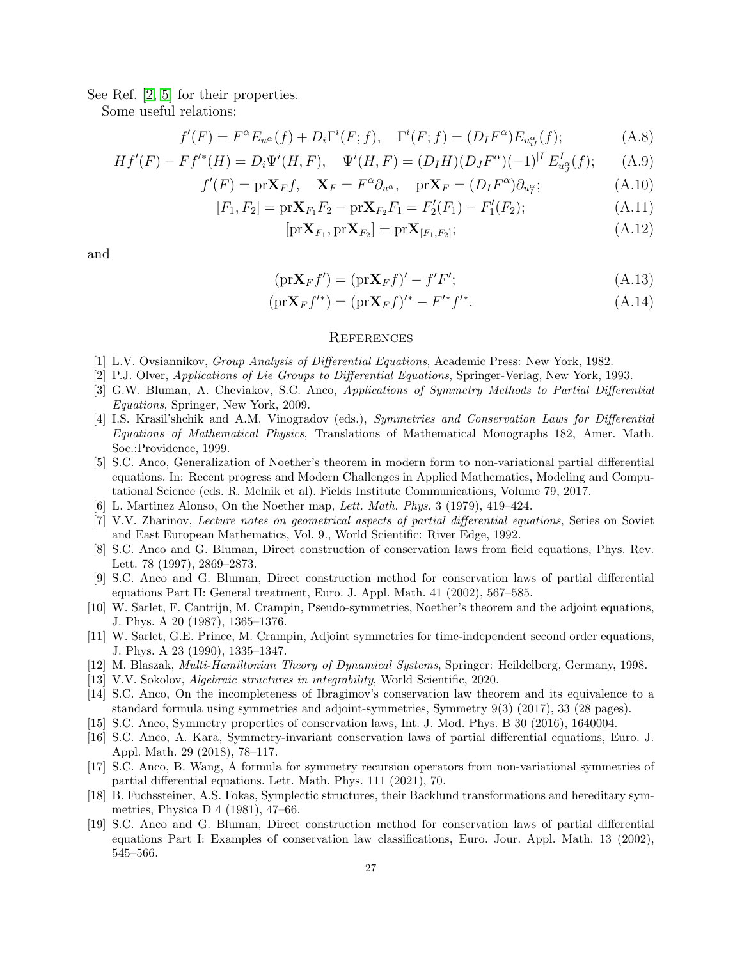See Ref. [\[2,](#page-26-1) [5\]](#page-26-4) for their properties.

Some useful relations:

$$
f'(F) = F^{\alpha} E_{u^{\alpha}}(f) + D_i \Gamma^i(F; f), \quad \Gamma^i(F; f) = (D_I F^{\alpha}) E_{u^{\alpha}_{iI}}(f); \tag{A.8}
$$

$$
Hf'(F) - Ff'^{*}(H) = D_i\Psi^i(H, F), \quad \Psi^i(H, F) = (D_I H)(D_J F^{\alpha})(-1)^{|I|} E^I_{u^{\alpha}_J}(f); \tag{A.9}
$$

$$
f'(F) = \text{pr}\mathbf{X}_F f, \quad \mathbf{X}_F = F^\alpha \partial_{u^\alpha}, \quad \text{pr}\mathbf{X}_F = (D_I F^\alpha) \partial_{u_I^\alpha}; \tag{A.10}
$$

$$
[F_1, F_2] = \text{pr} \mathbf{X}_{F_1} F_2 - \text{pr} \mathbf{X}_{F_2} F_1 = F_2'(F_1) - F_1'(F_2); \tag{A.11}
$$

$$
[\text{pr}\mathbf{X}_{F_1}, \text{pr}\mathbf{X}_{F_2}] = \text{pr}\mathbf{X}_{[F_1, F_2]};\tag{A.12}
$$

and

$$
(\text{pr}\mathbf{X}_F f') = (\text{pr}\mathbf{X}_F f)' - f'F';\tag{A.13}
$$

$$
(\text{pr}\mathbf{X}_F f'^*) = (\text{pr}\mathbf{X}_F f)'^* - F'^* f'^*.
$$
\n(A.14)

## <span id="page-26-20"></span><span id="page-26-19"></span>**REFERENCES**

- <span id="page-26-1"></span><span id="page-26-0"></span>[1] L.V. Ovsiannikov, Group Analysis of Differential Equations, Academic Press: New York, 1982.
- <span id="page-26-2"></span>[2] P.J. Olver, Applications of Lie Groups to Differential Equations, Springer-Verlag, New York, 1993.
- [3] G.W. Bluman, A. Cheviakov, S.C. Anco, Applications of Symmetry Methods to Partial Differential Equations, Springer, New York, 2009.
- <span id="page-26-3"></span>[4] I.S. Krasil'shchik and A.M. Vinogradov (eds.), Symmetries and Conservation Laws for Differential Equations of Mathematical Physics, Translations of Mathematical Monographs 182, Amer. Math. Soc.:Providence, 1999.
- <span id="page-26-4"></span>[5] S.C. Anco, Generalization of Noether's theorem in modern form to non-variational partial differential equations. In: Recent progress and Modern Challenges in Applied Mathematics, Modeling and Computational Science (eds. R. Melnik et al). Fields Institute Communications, Volume 79, 2017.
- <span id="page-26-6"></span><span id="page-26-5"></span>[6] L. Martinez Alonso, On the Noether map, Lett. Math. Phys. 3 (1979), 419–424.
- <span id="page-26-7"></span>[7] V.V. Zharinov, Lecture notes on geometrical aspects of partial differential equations, Series on Soviet and East European Mathematics, Vol. 9., World Scientific: River Edge, 1992.
- [8] S.C. Anco and G. Bluman, Direct construction of conservation laws from field equations, Phys. Rev. Lett. 78 (1997), 2869–2873.
- <span id="page-26-8"></span>[9] S.C. Anco and G. Bluman, Direct construction method for conservation laws of partial differential equations Part II: General treatment, Euro. J. Appl. Math. 41 (2002), 567–585.
- <span id="page-26-9"></span>[10] W. Sarlet, F. Cantrijn, M. Crampin, Pseudo-symmetries, Noether's theorem and the adjoint equations, J. Phys. A 20 (1987), 1365–1376.
- <span id="page-26-10"></span>[11] W. Sarlet, G.E. Prince, M. Crampin, Adjoint symmetries for time-independent second order equations, J. Phys. A 23 (1990), 1335–1347.
- <span id="page-26-12"></span><span id="page-26-11"></span>[12] M. Blaszak, Multi-Hamiltonian Theory of Dynamical Systems, Springer: Heildelberg, Germany, 1998.
- <span id="page-26-13"></span>[13] V.V. Sokolov, Algebraic structures in integrability, World Scientific, 2020.
- [14] S.C. Anco, On the incompleteness of Ibragimov's conservation law theorem and its equivalence to a standard formula using symmetries and adjoint-symmetries, Symmetry 9(3) (2017), 33 (28 pages).
- <span id="page-26-15"></span><span id="page-26-14"></span>[15] S.C. Anco, Symmetry properties of conservation laws, Int. J. Mod. Phys. B 30 (2016), 1640004.
- [16] S.C. Anco, A. Kara, Symmetry-invariant conservation laws of partial differential equations, Euro. J. Appl. Math. 29 (2018), 78–117.
- <span id="page-26-16"></span>[17] S.C. Anco, B. Wang, A formula for symmetry recursion operators from non-variational symmetries of partial differential equations. Lett. Math. Phys. 111 (2021), 70.
- <span id="page-26-17"></span>[18] B. Fuchssteiner, A.S. Fokas, Symplectic structures, their Backlund transformations and hereditary symmetries, Physica D 4 (1981), 47–66.
- <span id="page-26-18"></span>[19] S.C. Anco and G. Bluman, Direct construction method for conservation laws of partial differential equations Part I: Examples of conservation law classifications, Euro. Jour. Appl. Math. 13 (2002), 545–566.